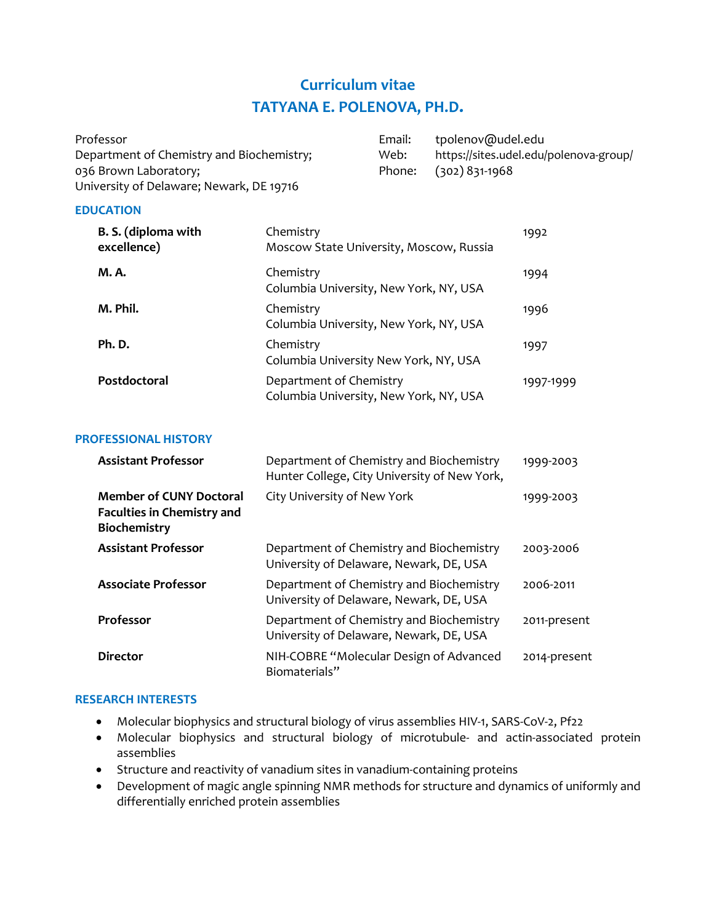# **Curriculum vitae TATYANA E. POLENOVA, PH.D.**

| Professor                                 | Email: | tpolenov@udel.edu                      |
|-------------------------------------------|--------|----------------------------------------|
| Department of Chemistry and Biochemistry; | Web:   | https://sites.udel.edu/polenova-group/ |
| 036 Brown Laboratory;                     |        | Phone: (302) 831-1968                  |
| University of Delaware; Newark, DE 19716  |        |                                        |

#### **EDUCATION**

| B. S. (diploma with<br>excellence) | Chemistry<br>Moscow State University, Moscow, Russia              | 1992      |
|------------------------------------|-------------------------------------------------------------------|-----------|
| M. A.                              | Chemistry<br>Columbia University, New York, NY, USA               | 1994      |
| M. Phil.                           | Chemistry<br>Columbia University, New York, NY, USA               | 1996      |
| Ph.D.                              | Chemistry<br>Columbia University New York, NY, USA                | 1997      |
| Postdoctoral                       | Department of Chemistry<br>Columbia University, New York, NY, USA | 1997-1999 |

### **PROFESSIONAL HISTORY**

| <b>Assistant Professor</b>                                                          | Department of Chemistry and Biochemistry<br>Hunter College, City University of New York, | 1999-2003    |
|-------------------------------------------------------------------------------------|------------------------------------------------------------------------------------------|--------------|
| <b>Member of CUNY Doctoral</b><br><b>Faculties in Chemistry and</b><br>Biochemistry | City University of New York                                                              | 1999-2003    |
| <b>Assistant Professor</b>                                                          | Department of Chemistry and Biochemistry<br>University of Delaware, Newark, DE, USA      | 2003-2006    |
| <b>Associate Professor</b>                                                          | Department of Chemistry and Biochemistry<br>University of Delaware, Newark, DE, USA      | 2006-2011    |
| Professor                                                                           | Department of Chemistry and Biochemistry<br>University of Delaware, Newark, DE, USA      | 2011-present |
| <b>Director</b>                                                                     | NIH-COBRE "Molecular Design of Advanced<br>Biomaterials"                                 | 2014-present |

### **RESEARCH INTERESTS**

- Molecular biophysics and structural biology of virus assemblies HIV-1, SARS-CoV-2, Pf22
- Molecular biophysics and structural biology of microtubule- and actin-associated protein assemblies
- Structure and reactivity of vanadium sites in vanadium-containing proteins
- Development of magic angle spinning NMR methods for structure and dynamics of uniformly and differentially enriched protein assemblies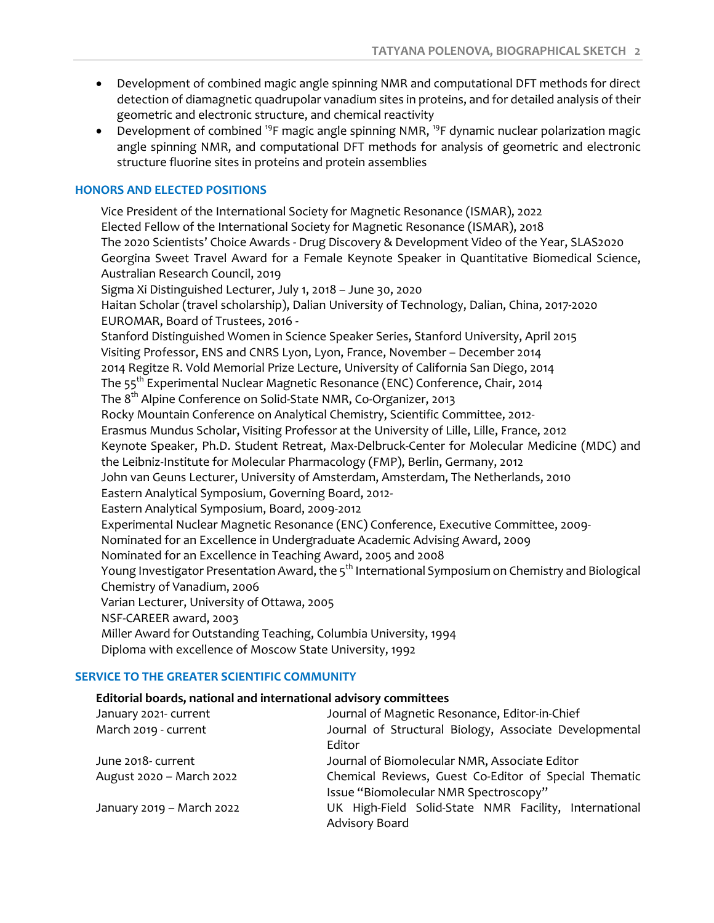- Development of combined magic angle spinning NMR and computational DFT methods for direct detection of diamagnetic quadrupolar vanadium sites in proteins, and for detailed analysis of their geometric and electronic structure, and chemical reactivity
- Development of combined <sup>19</sup>F magic angle spinning NMR, <sup>19</sup>F dynamic nuclear polarization magic angle spinning NMR, and computational DFT methods for analysis of geometric and electronic structure fluorine sites in proteins and protein assemblies

### **HONORS AND ELECTED POSITIONS**

Vice President of the International Society for Magnetic Resonance (ISMAR), 2022 Elected Fellow of the International Society for Magnetic Resonance (ISMAR), 2018 The 2020 Scientists' Choice Awards - Drug Discovery & Development Video of the Year, SLAS2020 Georgina Sweet Travel Award for a Female Keynote Speaker in Quantitative Biomedical Science, Australian Research Council, 2019 Sigma Xi Distinguished Lecturer, July 1, 2018 – June 30, 2020 Haitan Scholar (travel scholarship), Dalian University of Technology, Dalian, China, 2017-2020 EUROMAR, Board of Trustees, 2016 - Stanford Distinguished Women in Science Speaker Series, Stanford University, April 2015 Visiting Professor, ENS and CNRS Lyon, Lyon, France, November – December 2014 2014 Regitze R. Vold Memorial Prize Lecture, University of California San Diego, 2014 The 55<sup>th</sup> Experimental Nuclear Magnetic Resonance (ENC) Conference, Chair, 2014 The 8<sup>th</sup> Alpine Conference on Solid-State NMR, Co-Organizer, 2013 Rocky Mountain Conference on Analytical Chemistry, Scientific Committee, 2012- Erasmus Mundus Scholar, Visiting Professor at the University of Lille, Lille, France, 2012 Keynote Speaker, Ph.D. Student Retreat, Max-Delbruck-Center for Molecular Medicine (MDC) and the Leibniz-Institute for Molecular Pharmacology (FMP), Berlin, Germany, 2012 John van Geuns Lecturer, University of Amsterdam, Amsterdam, The Netherlands, 2010 Eastern Analytical Symposium, Governing Board, 2012- Eastern Analytical Symposium, Board, 2009-2012 Experimental Nuclear Magnetic Resonance (ENC) Conference, Executive Committee, 2009- Nominated for an Excellence in Undergraduate Academic Advising Award, 2009 Nominated for an Excellence in Teaching Award, 2005 and 2008 Young Investigator Presentation Award, the 5<sup>th</sup> International Symposium on Chemistry and Biological Chemistry of Vanadium, 2006 Varian Lecturer, University of Ottawa, 2005 NSF-CAREER award, 2003 Miller Award for Outstanding Teaching, Columbia University, 1994 Diploma with excellence of Moscow State University, 1992

### **SERVICE TO THE GREATER SCIENTIFIC COMMUNITY**

### **Editorial boards, national and international advisory committees**

| January 2021- current     | Journal of Magnetic Resonance, Editor-in-Chief         |
|---------------------------|--------------------------------------------------------|
| March 2019 - current      | Journal of Structural Biology, Associate Developmental |
|                           | Editor                                                 |
| June 2018- current        | Journal of Biomolecular NMR, Associate Editor          |
| August 2020 - March 2022  | Chemical Reviews, Guest Co-Editor of Special Thematic  |
|                           | Issue "Biomolecular NMR Spectroscopy"                  |
| January 2019 - March 2022 | UK High-Field Solid-State NMR Facility, International  |
|                           | Advisory Board                                         |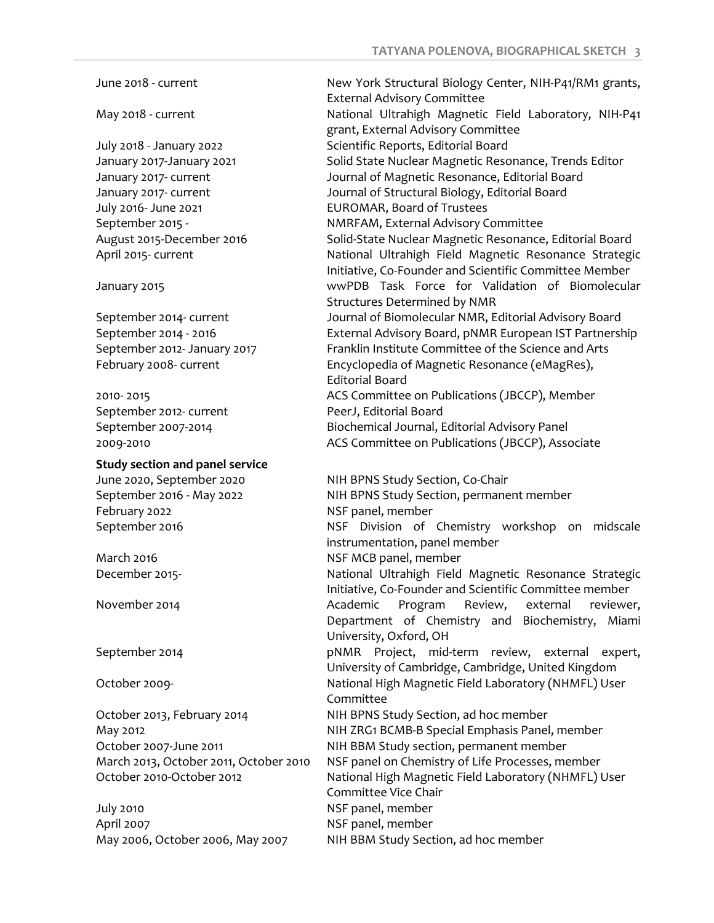September 2012- current PeerJ, Editorial Board

**Study section and panel service**

February 2022 and the MSF panel, member

July 2010 NSF panel, member April 2007 NSF panel, member

June 2018 - current **New York Structural Biology Center, NIH-P41/RM1 grants,** External Advisory Committee May 2018 - current National Ultrahigh Magnetic Field Laboratory, NIH-P41 grant, External Advisory Committee July 2018 - January 2022 Scientific Reports, Editorial Board January 2017-January 2021 Solid State Nuclear Magnetic Resonance, Trends Editor January 2017- current Journal of Magnetic Resonance, Editorial Board January 2017- current Journal of Structural Biology, Editorial Board July 2016- June 2021 EUROMAR, Board of Trustees September 2015 - NMRFAM, External Advisory Committee August 2015-December 2016 Solid-State Nuclear Magnetic Resonance, Editorial Board April 2015- current National Ultrahigh Field Magnetic Resonance Strategic Initiative, Co-Founder and Scientific Committee Member January 2015 wwPDB Task Force for Validation of Biomolecular Structures Determined by NMR September 2014- current Journal of Biomolecular NMR, Editorial Advisory Board September 2014 - 2016 External Advisory Board, pNMR European IST Partnership September 2012- January 2017 Franklin Institute Committee of the Science and Arts February 2008- current Encyclopedia of Magnetic Resonance (eMagRes), Editorial Board 2010- 2015 ACS Committee on Publications (JBCCP), Member September 2007-2014 Biochemical Journal, Editorial Advisory Panel 2009-2010 ACS Committee on Publications (JBCCP), Associate

June 2020, September 2020 NIH BPNS Study Section, Co-Chair September 2016 - May 2022 NIH BPNS Study Section, permanent member September 2016 NSF Division of Chemistry workshop on midscale instrumentation, panel member March 2016 **NSF MCB** panel, member December 2015- National Ultrahigh Field Magnetic Resonance Strategic Initiative, Co-Founder and Scientific Committee member November 2014 Academic Program Review, external reviewer, Department of Chemistry and Biochemistry, Miami University, Oxford, OH September 2014 **by Company September 2014 pNMR** Project, mid-term review, external expert, University of Cambridge, Cambridge, United Kingdom October 2009- National High Magnetic Field Laboratory (NHMFL) User Committee October 2013, February 2014 NIH BPNS Study Section, ad hoc member May 2012 NIH ZRG1 BCMB-B Special Emphasis Panel, member October 2007-June 2011 NIH BBM Study section, permanent member March 2013, October 2011, October 2010 NSF panel on Chemistry of Life Processes, member October 2010-October 2012 National High Magnetic Field Laboratory (NHMFL) User Committee Vice Chair May 2006, October 2006, May 2007 NIH BBM Study Section, ad hoc member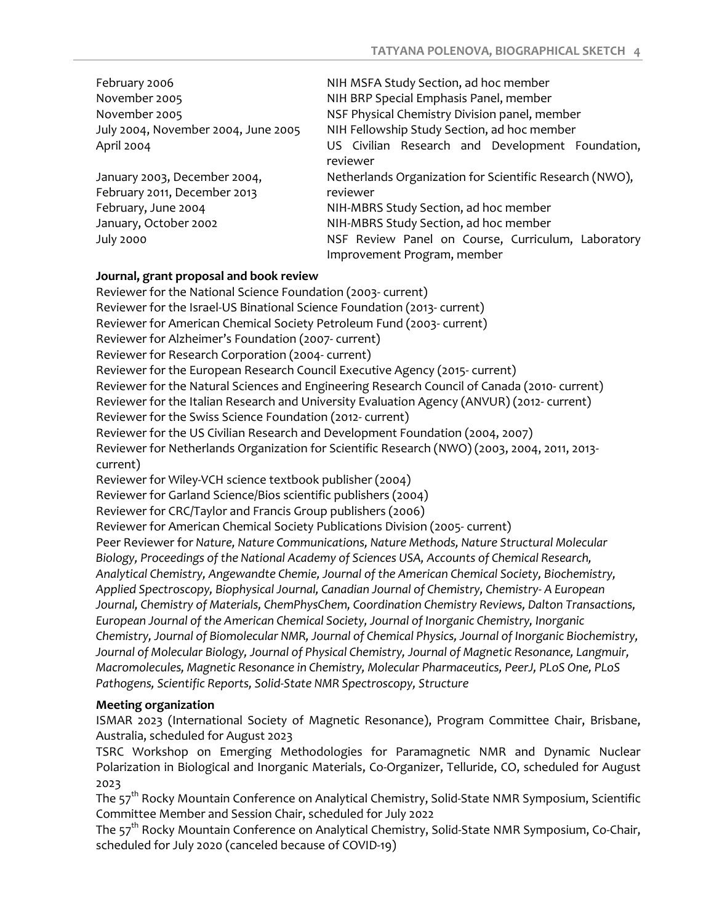| February 2006                       | NIH MSFA Study Section, ad hoc member                        |
|-------------------------------------|--------------------------------------------------------------|
| November 2005                       | NIH BRP Special Emphasis Panel, member                       |
| November 2005                       | NSF Physical Chemistry Division panel, member                |
| July 2004, November 2004, June 2005 | NIH Fellowship Study Section, ad hoc member                  |
| April 2004                          | US Civilian Research and Development Foundation,<br>reviewer |
| January 2003, December 2004,        | Netherlands Organization for Scientific Research (NWO),      |
| February 2011, December 2013        | reviewer                                                     |
| February, June 2004                 | NIH-MBRS Study Section, ad hoc member                        |
| January, October 2002               | NIH-MBRS Study Section, ad hoc member                        |
| July 2000                           | NSF Review Panel on Course, Curriculum, Laboratory           |
|                                     | Improvement Program, member                                  |

### **Journal, grant proposal and book review**

Reviewer for the National Science Foundation (2003- current) Reviewer for the Israel-US Binational Science Foundation (2013- current) Reviewer for American Chemical Society Petroleum Fund (2003- current) Reviewer for Alzheimer's Foundation (2007- current) Reviewer for Research Corporation (2004- current) Reviewer for the European Research Council Executive Agency (2015- current) Reviewer for the Natural Sciences and Engineering Research Council of Canada (2010- current) Reviewer for the Italian Research and University Evaluation Agency (ANVUR) (2012- current) Reviewer for the Swiss Science Foundation (2012- current) Reviewer for the US Civilian Research and Development Foundation (2004, 2007) Reviewer for Netherlands Organization for Scientific Research (NWO) (2003, 2004, 2011, 2013 current) Reviewer for Wiley-VCH science textbook publisher (2004) Reviewer for Garland Science/Bios scientific publishers (2004) Reviewer for CRC/Taylor and Francis Group publishers (2006) Reviewer for American Chemical Society Publications Division (2005- current) Peer Reviewer for *Nature, Nature Communications, Nature Methods, Nature Structural Molecular Biology, Proceedings of the National Academy of Sciences USA, Accounts of Chemical Research, Analytical Chemistry, Angewandte Chemie, Journal of the American Chemical Society, Biochemistry, Applied Spectroscopy, Biophysical Journal, Canadian Journal of Chemistry, Chemistry- A European Journal, Chemistry of Materials, ChemPhysChem, Coordination Chemistry Reviews, Dalton Transactions, European Journal of the American Chemical Society, Journal of Inorganic Chemistry, Inorganic Chemistry, Journal of Biomolecular NMR, Journal of Chemical Physics, Journal of Inorganic Biochemistry, Journal of Molecular Biology, Journal of Physical Chemistry, Journal of Magnetic Resonance, Langmuir, Macromolecules, Magnetic Resonance in Chemistry, Molecular Pharmaceutics, PeerJ, PLoS One, PLoS Pathogens, Scientific Reports, Solid-State NMR Spectroscopy, Structure*

# **Meeting organization**

ISMAR 2023 (International Society of Magnetic Resonance), Program Committee Chair, Brisbane, Australia, scheduled for August 2023

TSRC Workshop on Emerging Methodologies for Paramagnetic NMR and Dynamic Nuclear Polarization in Biological and Inorganic Materials, Co-Organizer, Telluride, CO, scheduled for August 2023

The 57<sup>th</sup> Rocky Mountain Conference on Analytical Chemistry, Solid-State NMR Symposium, Scientific Committee Member and Session Chair, scheduled for July 2022

The 57<sup>th</sup> Rocky Mountain Conference on Analytical Chemistry, Solid-State NMR Symposium, Co-Chair, scheduled for July 2020 (canceled because of COVID-19)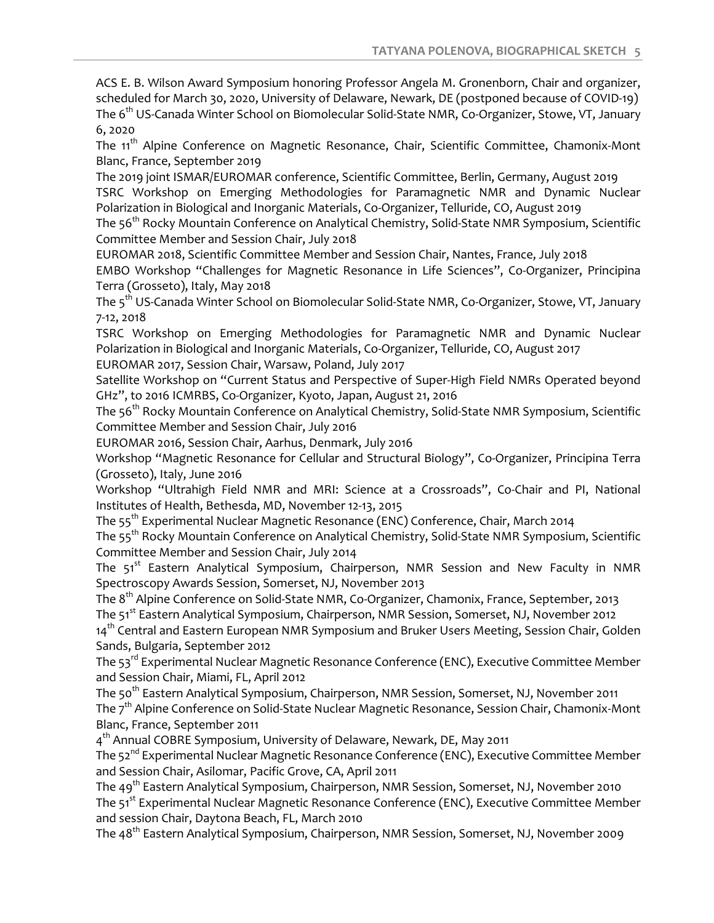ACS E. B. Wilson Award Symposium honoring Professor Angela M. Gronenborn, Chair and organizer, scheduled for March 30, 2020, University of Delaware, Newark, DE (postponed because of COVID-19) The 6<sup>th</sup> US-Canada Winter School on Biomolecular Solid-State NMR, Co-Organizer, Stowe, VT, January 6, 2020

The 11<sup>th</sup> Alpine Conference on Magnetic Resonance, Chair, Scientific Committee, Chamonix-Mont Blanc, France, September 2019

The 2019 joint ISMAR/EUROMAR conference, Scientific Committee, Berlin, Germany, August 2019 TSRC Workshop on Emerging Methodologies for Paramagnetic NMR and Dynamic Nuclear Polarization in Biological and Inorganic Materials, Co-Organizer, Telluride, CO, August 2019

The 56<sup>th</sup> Rocky Mountain Conference on Analytical Chemistry, Solid-State NMR Symposium, Scientific Committee Member and Session Chair, July 2018

EUROMAR 2018, Scientific Committee Member and Session Chair, Nantes, France, July 2018

EMBO Workshop "Challenges for Magnetic Resonance in Life Sciences", Co-Organizer, Principina Terra (Grosseto), Italy, May 2018

The 5<sup>th</sup> US-Canada Winter School on Biomolecular Solid-State NMR, Co-Organizer, Stowe, VT, January 7-12, 2018

TSRC Workshop on Emerging Methodologies for Paramagnetic NMR and Dynamic Nuclear Polarization in Biological and Inorganic Materials, Co-Organizer, Telluride, CO, August 2017 EUROMAR 2017, Session Chair, Warsaw, Poland, July 2017

Satellite Workshop on "Current Status and Perspective of Super-High Field NMRs Operated beyond GHz", to 2016 ICMRBS, Co-Organizer, Kyoto, Japan, August 21, 2016

The 56<sup>th</sup> Rocky Mountain Conference on Analytical Chemistry, Solid-State NMR Symposium, Scientific Committee Member and Session Chair, July 2016

EUROMAR 2016, Session Chair, Aarhus, Denmark, July 2016

Workshop "Magnetic Resonance for Cellular and Structural Biology", Co-Organizer, Principina Terra (Grosseto), Italy, June 2016

Workshop "Ultrahigh Field NMR and MRI: Science at a Crossroads", Co-Chair and PI, National Institutes of Health, Bethesda, MD, November 12-13, 2015

The 55<sup>th</sup> Experimental Nuclear Magnetic Resonance (ENC) Conference, Chair, March 2014

The 55<sup>th</sup> Rocky Mountain Conference on Analytical Chemistry, Solid-State NMR Symposium, Scientific Committee Member and Session Chair, July 2014

The 51<sup>st</sup> Eastern Analytical Symposium, Chairperson, NMR Session and New Faculty in NMR Spectroscopy Awards Session, Somerset, NJ, November 2013

The 8<sup>th</sup> Alpine Conference on Solid-State NMR, Co-Organizer, Chamonix, France, September, 2013

The 51<sup>st</sup> Eastern Analytical Symposium, Chairperson, NMR Session, Somerset, NJ, November 2012

14<sup>th</sup> Central and Eastern European NMR Symposium and Bruker Users Meeting, Session Chair, Golden Sands, Bulgaria, September 2012

The 53<sup>rd</sup> Experimental Nuclear Magnetic Resonance Conference (ENC), Executive Committee Member and Session Chair, Miami, FL, April 2012

The 50<sup>th</sup> Eastern Analytical Symposium, Chairperson, NMR Session, Somerset, NJ, November 2011 The 7<sup>th</sup> Alpine Conference on Solid-State Nuclear Magnetic Resonance, Session Chair, Chamonix-Mont Blanc, France, September 2011

4<sup>th</sup> Annual COBRE Symposium, University of Delaware, Newark, DE, May 2011

The 52<sup>nd</sup> Experimental Nuclear Magnetic Resonance Conference (ENC), Executive Committee Member and Session Chair, Asilomar, Pacific Grove, CA, April 2011

The 49<sup>th</sup> Eastern Analytical Symposium, Chairperson, NMR Session, Somerset, NJ, November 2010 The 51<sup>st</sup> Experimental Nuclear Magnetic Resonance Conference (ENC), Executive Committee Member and session Chair, Daytona Beach, FL, March 2010

The 48<sup>th</sup> Eastern Analytical Symposium, Chairperson, NMR Session, Somerset, NJ, November 2009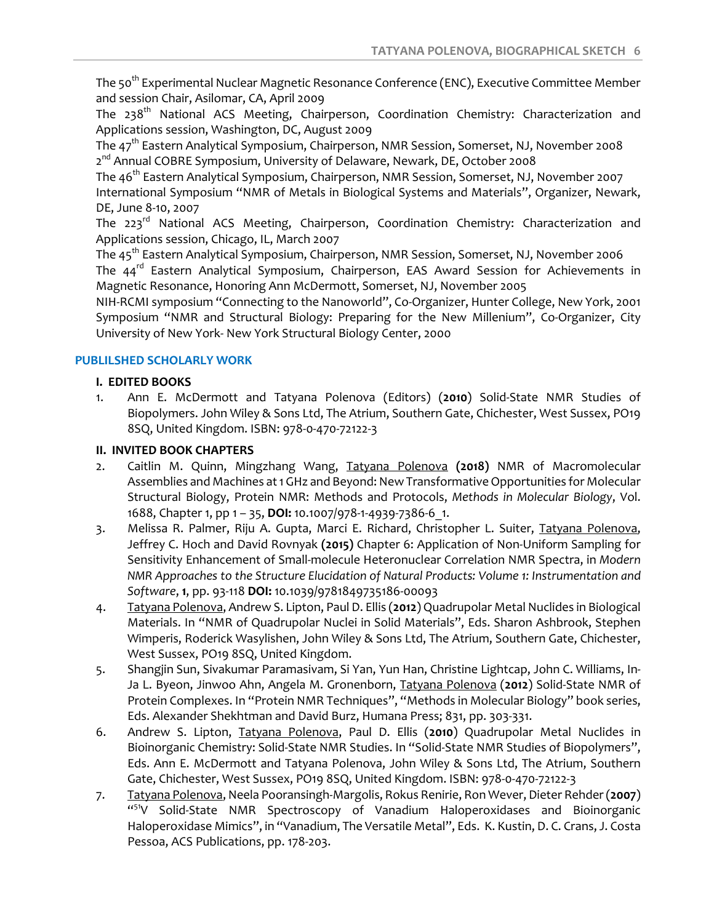The 50<sup>th</sup> Experimental Nuclear Magnetic Resonance Conference (ENC), Executive Committee Member and session Chair, Asilomar, CA, April 2009

The 238<sup>th</sup> National ACS Meeting, Chairperson, Coordination Chemistry: Characterization and Applications session, Washington, DC, August 2009

The 47th Eastern Analytical Symposium, Chairperson, NMR Session, Somerset, NJ, November 2008 2<sup>nd</sup> Annual COBRE Symposium, University of Delaware, Newark, DE, October 2008

The 46<sup>th</sup> Eastern Analytical Symposium, Chairperson, NMR Session, Somerset, NJ, November 2007 International Symposium "NMR of Metals in Biological Systems and Materials", Organizer, Newark, DE, June 8-10, 2007

The 223<sup>rd</sup> National ACS Meeting, Chairperson, Coordination Chemistry: Characterization and Applications session, Chicago, IL, March 2007

The 45<sup>th</sup> Eastern Analytical Symposium, Chairperson, NMR Session, Somerset, NJ, November 2006 The 44<sup>rd</sup> Eastern Analytical Symposium, Chairperson, EAS Award Session for Achievements in Magnetic Resonance, Honoring Ann McDermott, Somerset, NJ, November 2005

NIH-RCMI symposium "Connecting to the Nanoworld", Co-Organizer, Hunter College, New York, 2001 Symposium "NMR and Structural Biology: Preparing for the New Millenium", Co-Organizer, City University of New York- New York Structural Biology Center, 2000

### **PUBLILSHED SCHOLARLY WORK**

### **I. EDITED BOOKS**

1. Ann E. McDermott and Tatyana Polenova (Editors) (**2010**) Solid-State NMR Studies of Biopolymers. John Wiley & Sons Ltd, The Atrium, Southern Gate, Chichester, West Sussex, PO19 8SQ, United Kingdom. ISBN: 978-0-470-72122-3

### **II. INVITED BOOK CHAPTERS**

- 2. Caitlin M. Quinn, Mingzhang Wang, Tatyana Polenova **(2018)** NMR of Macromolecular Assemblies and Machines at 1 GHz and Beyond: New Transformative Opportunities for Molecular Structural Biology, Protein NMR: Methods and Protocols, *Methods in Molecular Biology*, Vol. 1688, Chapter 1, pp 1 – 35, **DOI:** 10.1007/978-1-4939-7386-6\_1.
- 3. Melissa R. Palmer, Riju A. Gupta, Marci E. Richard, Christopher L. Suiter, Tatyana Polenova, Jeffrey C. Hoch and David Rovnyak **(2015)** Chapter 6: Application of Non-Uniform Sampling for Sensitivity Enhancement of Small-molecule Heteronuclear Correlation NMR Spectra, in *Modern NMR Approaches to the Structure Elucidation of Natural Products: Volume 1: Instrumentation and Software*, **1**, pp. 93-118 **DOI:** 10.1039/9781849735186-00093
- 4. Tatyana Polenova, Andrew S. Lipton, Paul D. Ellis (**2012**) Quadrupolar Metal Nuclides in Biological Materials. In "NMR of Quadrupolar Nuclei in Solid Materials", Eds. Sharon Ashbrook, Stephen Wimperis, Roderick Wasylishen, John Wiley & Sons Ltd, The Atrium, Southern Gate, Chichester, West Sussex, PO19 8SQ, United Kingdom.
- 5. Shangjin Sun, Sivakumar Paramasivam, Si Yan, Yun Han, Christine Lightcap, John C. Williams, In-Ja L. Byeon, Jinwoo Ahn, Angela M. Gronenborn, Tatyana Polenova (**2012**) Solid-State NMR of Protein Complexes. In "Protein NMR Techniques", "Methods in Molecular Biology" book series, Eds. Alexander Shekhtman and David Burz, Humana Press; 831, pp. 303-331.
- 6. Andrew S. Lipton, Tatyana Polenova, Paul D. Ellis (**2010**) Quadrupolar Metal Nuclides in Bioinorganic Chemistry: Solid-State NMR Studies. In "Solid-State NMR Studies of Biopolymers", Eds. Ann E. McDermott and Tatyana Polenova, John Wiley & Sons Ltd, The Atrium, Southern Gate, Chichester, West Sussex, PO19 8SQ, United Kingdom. ISBN: 978-0-470-72122-3
- 7. Tatyana Polenova, Neela Pooransingh-Margolis, Rokus Renirie, Ron Wever, Dieter Rehder (**2007**) "51V Solid-State NMR Spectroscopy of Vanadium Haloperoxidases and Bioinorganic Haloperoxidase Mimics", in "Vanadium, The Versatile Metal", Eds. K. Kustin, D. C. Crans, J. Costa Pessoa, ACS Publications, pp. 178-203.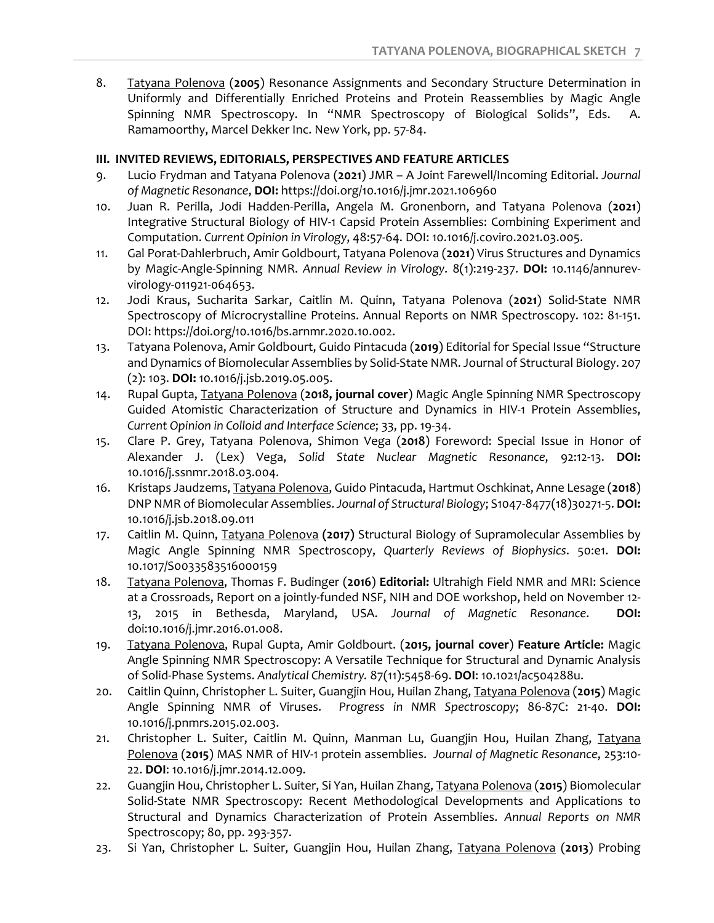8. Tatyana Polenova (**2005**) Resonance Assignments and Secondary Structure Determination in Uniformly and Differentially Enriched Proteins and Protein Reassemblies by Magic Angle Spinning NMR Spectroscopy. In "NMR Spectroscopy of Biological Solids", Eds. A. Ramamoorthy, Marcel Dekker Inc. New York, pp. 57-84.

# **III. INVITED REVIEWS, EDITORIALS, PERSPECTIVES AND FEATURE ARTICLES**

- 9. Lucio Frydman and Tatyana Polenova (**2021**) JMR A Joint Farewell/Incoming Editorial. *Journal of Magnetic Resonance*, **DOI:** https://doi.org/10.1016/j.jmr.2021.106960
- 10. Juan R. Perilla, Jodi Hadden-Perilla, Angela M. Gronenborn, and Tatyana Polenova (**2021**) Integrative Structural Biology of HIV-1 Capsid Protein Assemblies: Combining Experiment and Computation. *Current Opinion in Virology*, 48:57-64. DOI: 10.1016/j.coviro.2021.03.005.
- 11. Gal Porat-Dahlerbruch, Amir Goldbourt, Tatyana Polenova (**2021**) Virus Structures and Dynamics by Magic-Angle-Spinning NMR. *Annual Review in Virology*. 8(1):219-237. **DOI:** 10.1146/annurevvirology-011921-064653.
- 12. Jodi Kraus, Sucharita Sarkar, Caitlin M. Quinn, Tatyana Polenova (**2021**) Solid-State NMR Spectroscopy of Microcrystalline Proteins. Annual Reports on NMR Spectroscopy. 102: 81-151. DOI: https://doi.org/10.1016/bs.arnmr.2020.10.002.
- 13. Tatyana Polenova, Amir Goldbourt, Guido Pintacuda (**2019**) Editorial for Special Issue "Structure and Dynamics of Biomolecular Assemblies by Solid-State NMR. Journal of Structural Biology. 207 (2): 103. **DOI:** 10.1016/j.jsb.2019.05.005.
- 14. Rupal Gupta, Tatyana Polenova (**2018, journal cover**) Magic Angle Spinning NMR Spectroscopy Guided Atomistic Characterization of Structure and Dynamics in HIV-1 Protein Assemblies, *Current Opinion in Colloid and Interface Science*; 33, pp. 19-34.
- 15. Clare P. Grey, Tatyana Polenova, Shimon Vega (**2018**) Foreword: Special Issue in Honor of Alexander J. (Lex) Vega, *Solid State Nuclear Magnetic Resonance*, 92:12-13. **DOI:** 10.1016/j.ssnmr.2018.03.004.
- 16. Kristaps Jaudzems, Tatyana Polenova, Guido Pintacuda, Hartmut Oschkinat, Anne Lesage (**2018**) DNP NMR of Biomolecular Assemblies. *Journal of Structural Biology*; S1047-8477(18)30271-5. **DOI:** 10.1016/j.jsb.2018.09.011
- 17. Caitlin M. Quinn, Tatyana Polenova **(2017)** Structural Biology of Supramolecular Assemblies by Magic Angle Spinning NMR Spectroscopy, *Quarterly Reviews of Biophysics*. 50:e1. **DOI:** 10.1017/S0033583516000159
- 18. Tatyana Polenova, Thomas F. Budinger (**2016**) **Editorial:** Ultrahigh Field NMR and MRI: Science at a Crossroads, Report on a jointly-funded NSF, NIH and DOE workshop, held on November 12- 13, 2015 in Bethesda, Maryland, USA. *Journal of Magnetic Resonance*. **DOI:** doi:10.1016/j.jmr.2016.01.008.
- 19. Tatyana Polenova, Rupal Gupta, Amir Goldbourt. (**2015, journal cover**) **Feature Article:** Magic Angle Spinning NMR Spectroscopy: A Versatile Technique for Structural and Dynamic Analysis of Solid-Phase Systems. *Analytical Chemistry.* 87(11):5458-69. **DOI**: 10.1021/ac504288u.
- 20. Caitlin Quinn, Christopher L. Suiter, Guangjin Hou, Huilan Zhang, Tatyana Polenova (**2015**) Magic Angle Spinning NMR of Viruses. *Progress in NMR Spectroscopy*; 86-87C: 21-40. **DOI:** 10.1016/j.pnmrs.2015.02.003.
- 21. Christopher L. Suiter, Caitlin M. Quinn, Manman Lu, Guangjin Hou, Huilan Zhang, Tatyana Polenova (**2015**) MAS NMR of HIV-1 protein assemblies. *Journal of Magnetic Resonance*, 253:10- 22. **DOI**: 10.1016/j.jmr.2014.12.009.
- 22. Guangjin Hou, Christopher L. Suiter, Si Yan, Huilan Zhang, Tatyana Polenova (**2015**) Biomolecular Solid-State NMR Spectroscopy: Recent Methodological Developments and Applications to Structural and Dynamics Characterization of Protein Assemblies. *Annual Reports on NMR*  Spectroscopy; 80, pp. 293-357.
- 23. Si Yan, Christopher L. Suiter, Guangjin Hou, Huilan Zhang, Tatyana Polenova (**2013**) Probing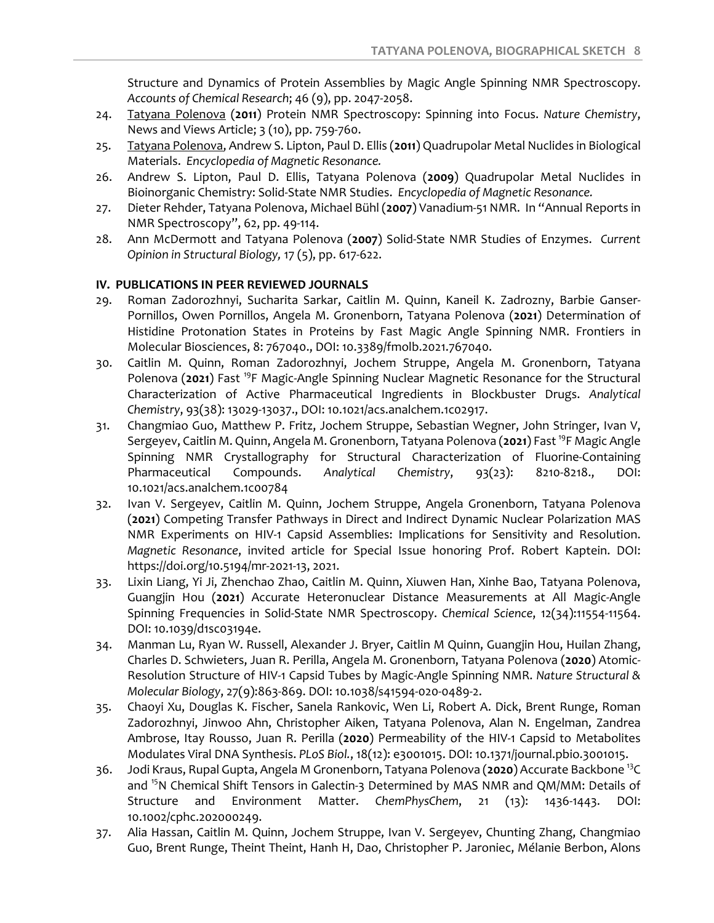Structure and Dynamics of Protein Assemblies by Magic Angle Spinning NMR Spectroscopy. *Accounts of Chemical Research*; 46 (9), pp. 2047-2058.

- 24. Tatyana Polenova (**2011**) Protein NMR Spectroscopy: Spinning into Focus. *Nature Chemistry*, News and Views Article; 3 (10), pp. 759-760.
- 25. Tatyana Polenova, Andrew S. Lipton, Paul D. Ellis (**2011**) Quadrupolar Metal Nuclides in Biological Materials. *Encyclopedia of Magnetic Resonance.*
- 26. Andrew S. Lipton, Paul D. Ellis, Tatyana Polenova (**2009**) Quadrupolar Metal Nuclides in Bioinorganic Chemistry: Solid-State NMR Studies. *Encyclopedia of Magnetic Resonance.*
- 27. Dieter Rehder, Tatyana Polenova, Michael Bühl (**2007**) Vanadium-51 NMR. In "Annual Reports in NMR Spectroscopy", 62, pp. 49-114.
- 28. Ann McDermott and Tatyana Polenova (**2007**) Solid-State NMR Studies of Enzymes. *Current Opinion in Structural Biology,* 17 (5), pp. 617-622.

### **IV. PUBLICATIONS IN PEER REVIEWED JOURNALS**

- 29. Roman Zadorozhnyi, Sucharita Sarkar, Caitlin M. Quinn, Kaneil K. Zadrozny, Barbie Ganser-Pornillos, Owen Pornillos, Angela M. Gronenborn, Tatyana Polenova (**2021**) Determination of Histidine Protonation States in Proteins by Fast Magic Angle Spinning NMR. Frontiers in Molecular Biosciences, 8: 767040., DOI: 10.3389/fmolb.2021.767040.
- 30. Caitlin M. Quinn, Roman Zadorozhnyi, Jochem Struppe, Angela M. Gronenborn, Tatyana Polenova (**2021**) Fast 19F Magic-Angle Spinning Nuclear Magnetic Resonance for the Structural Characterization of Active Pharmaceutical Ingredients in Blockbuster Drugs. *Analytical Chemistry*, 93(38): 13029-13037., DOI: 10.1021/acs.analchem.1c02917.
- 31. Changmiao Guo, Matthew P. Fritz, Jochem Struppe, Sebastian Wegner, John Stringer, Ivan V, Sergeyev, Caitlin M. Quinn, Angela M. Gronenborn, Tatyana Polenova (**2021**) Fast 19F Magic Angle Spinning NMR Crystallography for Structural Characterization of Fluorine-Containing Pharmaceutical Compounds. *Analytical Chemistry*, 93(23): 8210-8218., DOI: 10.1021/acs.analchem.1c00784
- 32. Ivan V. Sergeyev, Caitlin M. Quinn, Jochem Struppe, Angela Gronenborn, Tatyana Polenova (**2021**) Competing Transfer Pathways in Direct and Indirect Dynamic Nuclear Polarization MAS NMR Experiments on HIV-1 Capsid Assemblies: Implications for Sensitivity and Resolution. *Magnetic Resonance*, invited article for Special Issue honoring Prof. Robert Kaptein. DOI: https://doi.org/10.5194/mr-2021-13, 2021.
- 33. Lixin Liang, Yi Ji, Zhenchao Zhao, Caitlin M. Quinn, Xiuwen Han, Xinhe Bao, Tatyana Polenova, Guangjin Hou (**2021**) Accurate Heteronuclear Distance Measurements at All Magic-Angle Spinning Frequencies in Solid-State NMR Spectroscopy. *Chemical Science*, 12(34):11554-11564. DOI: 10.1039/d1sc03194e.
- 34. Manman Lu, Ryan W. Russell, Alexander J. Bryer, Caitlin M Quinn, Guangjin Hou, Huilan Zhang, Charles D. Schwieters, Juan R. Perilla, Angela M. Gronenborn, Tatyana Polenova (**2020**) Atomic-Resolution Structure of HIV-1 Capsid Tubes by Magic-Angle Spinning NMR. *Nature Structural & Molecular Biology*, 27(9):863-869. DOI: 10.1038/s41594-020-0489-2.
- 35. Chaoyi Xu, Douglas K. Fischer, Sanela Rankovic, Wen Li, Robert A. Dick, Brent Runge, Roman Zadorozhnyi, Jinwoo Ahn, Christopher Aiken, Tatyana Polenova, Alan N. Engelman, Zandrea Ambrose, Itay Rousso, Juan R. Perilla (**2020**) Permeability of the HIV-1 Capsid to Metabolites Modulates Viral DNA Synthesis. *PLoS Biol.*, 18(12): e3001015. DOI: 10.1371/journal.pbio.3001015.
- 36. Jodi Kraus, Rupal Gupta, Angela M Gronenborn, Tatyana Polenova (**2020**) Accurate Backbone 13C and <sup>15</sup>N Chemical Shift Tensors in Galectin-3 Determined by MAS NMR and QM/MM: Details of Structure and Environment Matter. *ChemPhysChem*, 21 (13): 1436-1443. DOI: 10.1002/cphc.202000249.
- 37. Alia Hassan, Caitlin M. Quinn, Jochem Struppe, Ivan V. Sergeyev, Chunting Zhang, Changmiao Guo, Brent Runge, Theint Theint, Hanh H, Dao, Christopher P. Jaroniec, Mélanie Berbon, Alons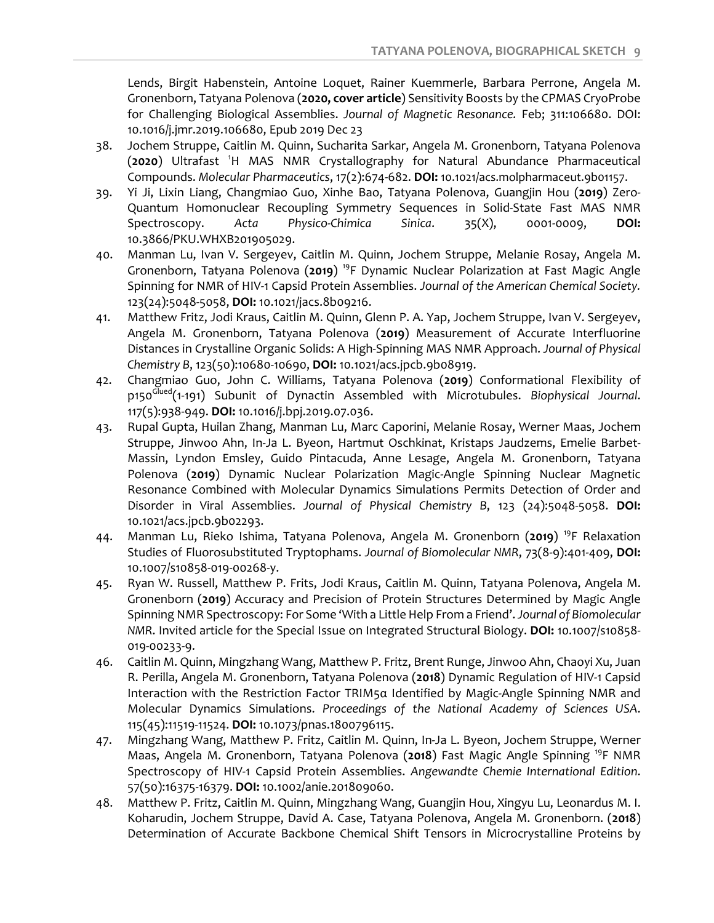Lends, Birgit Habenstein, Antoine Loquet, Rainer Kuemmerle, Barbara Perrone, Angela M. Gronenborn, Tatyana Polenova (**2020, cover article**) Sensitivity Boosts by the CPMAS CryoProbe for Challenging Biological Assemblies. *Journal of Magnetic Resonance.* Feb; 311:106680. DOI: 10.1016/j.jmr.2019.106680, Epub 2019 Dec 23

- 38. Jochem Struppe, Caitlin M. Quinn, Sucharita Sarkar, Angela M. Gronenborn, Tatyana Polenova (**2020**) Ultrafast <sup>1</sup> H MAS NMR Crystallography for Natural Abundance Pharmaceutical Compounds. *Molecular Pharmaceutics*, 17(2):674-682. **DOI:** 10.1021/acs.molpharmaceut.9b01157.
- 39. Yi Ji, Lixin Liang, Changmiao Guo, Xinhe Bao, Tatyana Polenova, Guangjin Hou (**2019**) Zero-Quantum Homonuclear Recoupling Symmetry Sequences in Solid-State Fast MAS NMR Spectroscopy. *Acta Physico-Chimica Sinica*. 35(X), 0001-0009, **DOI:** 10.3866/PKU.WHXB201905029.
- 40. Manman Lu, Ivan V. Sergeyev, Caitlin M. Quinn, Jochem Struppe, Melanie Rosay, Angela M. Gronenborn, Tatyana Polenova (**2019**) 19F Dynamic Nuclear Polarization at Fast Magic Angle Spinning for NMR of HIV-1 Capsid Protein Assemblies. *Journal of the American Chemical Society.* 123(24):5048-5058, **DOI:** 10.1021/jacs.8b09216.
- 41. Matthew Fritz, Jodi Kraus, Caitlin M. Quinn, Glenn P. A. Yap, Jochem Struppe, Ivan V. Sergeyev, Angela M. Gronenborn, Tatyana Polenova (**2019**) Measurement of Accurate Interfluorine Distances in Crystalline Organic Solids: A High-Spinning MAS NMR Approach. *Journal of Physical Chemistry B*, 123(50):10680-10690, **DOI:** 10.1021/acs.jpcb.9b08919.
- 42. Changmiao Guo, John C. Williams, Tatyana Polenova (**2019**) Conformational Flexibility of p150Glued(1-191) Subunit of Dynactin Assembled with Microtubules. *Biophysical Journal*. 117(5):938-949. **DOI:** 10.1016/j.bpj.2019.07.036.
- 43. Rupal Gupta, Huilan Zhang, Manman Lu, Marc Caporini, Melanie Rosay, Werner Maas, Jochem Struppe, Jinwoo Ahn, In-Ja L. Byeon, Hartmut Oschkinat, Kristaps Jaudzems, Emelie Barbet-Massin, Lyndon Emsley, Guido Pintacuda, Anne Lesage, Angela M. Gronenborn, Tatyana Polenova (**2019**) Dynamic Nuclear Polarization Magic-Angle Spinning Nuclear Magnetic Resonance Combined with Molecular Dynamics Simulations Permits Detection of Order and Disorder in Viral Assemblies. *Journal of Physical Chemistry B*, 123 (24):5048-5058. **DOI:** 10.1021/acs.jpcb.9b02293.
- 44. Manman Lu, Rieko Ishima, Tatyana Polenova, Angela M. Gronenborn (**2019**) 19F Relaxation Studies of Fluorosubstituted Tryptophams. *Journal of Biomolecular NMR*, 73(8-9):401-409, **DOI:** 10.1007/s10858-019-00268-y.
- 45. Ryan W. Russell, Matthew P. Frits, Jodi Kraus, Caitlin M. Quinn, Tatyana Polenova, Angela M. Gronenborn (**2019**) Accuracy and Precision of Protein Structures Determined by Magic Angle Spinning NMR Spectroscopy: For Some 'With a Little Help From a Friend'. *Journal of Biomolecular NMR*. Invited article for the Special Issue on Integrated Structural Biology. **DOI:** 10.1007/s10858- 019-00233-9.
- 46. Caitlin M. Quinn, Mingzhang Wang, Matthew P. Fritz, Brent Runge, Jinwoo Ahn, Chaoyi Xu, Juan R. Perilla, Angela M. Gronenborn, Tatyana Polenova (**2018**) Dynamic Regulation of HIV-1 Capsid Interaction with the Restriction Factor TRIM5α Identified by Magic-Angle Spinning NMR and Molecular Dynamics Simulations. *Proceedings of the National Academy of Sciences USA*. 115(45):11519-11524. **DOI:** 10.1073/pnas.1800796115.
- 47. Mingzhang Wang, Matthew P. Fritz, Caitlin M. Quinn, In-Ja L. Byeon, Jochem Struppe, Werner Maas, Angela M. Gronenborn, Tatyana Polenova (**2018**) Fast Magic Angle Spinning 19F NMR Spectroscopy of HIV-1 Capsid Protein Assemblies. *Angewandte Chemie International Edition*. 57(50):16375-16379. **DOI:** 10.1002/anie.201809060.
- 48. Matthew P. Fritz, Caitlin M. Quinn, Mingzhang Wang, Guangjin Hou, Xingyu Lu, Leonardus M. I. Koharudin, Jochem Struppe, David A. Case, Tatyana Polenova, Angela M. Gronenborn. (**2018**) Determination of Accurate Backbone Chemical Shift Tensors in Microcrystalline Proteins by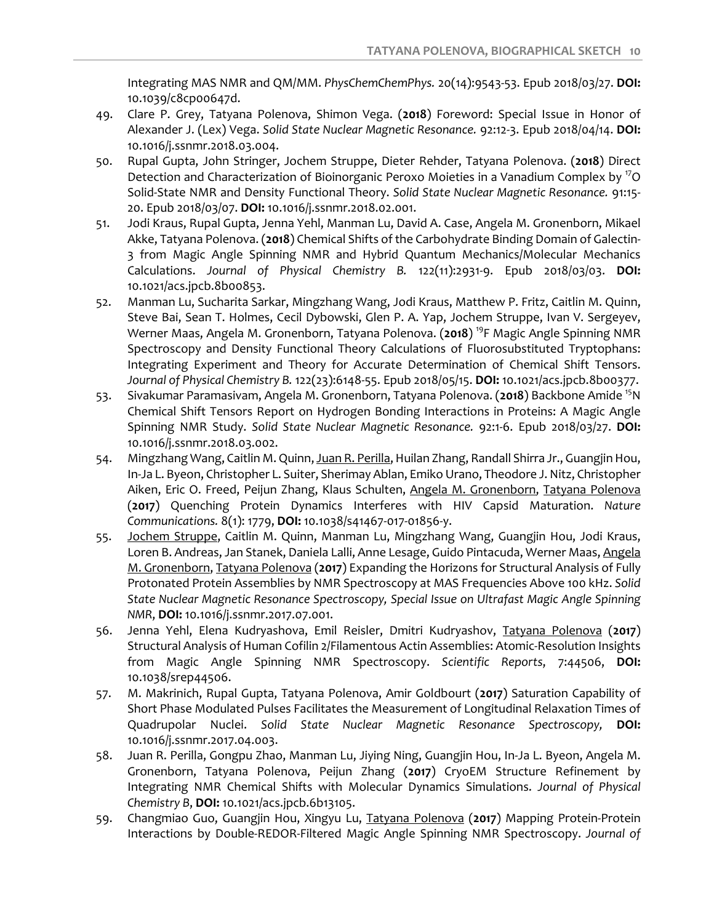Integrating MAS NMR and QM/MM. *PhysChemChemPhys.* 20(14):9543-53. Epub 2018/03/27. **DOI:** 10.1039/c8cp00647d.

- 49. Clare P. Grey, Tatyana Polenova, Shimon Vega. (**2018**) Foreword: Special Issue in Honor of Alexander J. (Lex) Vega. *Solid State Nuclear Magnetic Resonance.* 92:12-3. Epub 2018/04/14. **DOI:** 10.1016/j.ssnmr.2018.03.004.
- 50. Rupal Gupta, John Stringer, Jochem Struppe, Dieter Rehder, Tatyana Polenova. (**2018**) Direct Detection and Characterization of Bioinorganic Peroxo Moieties in a Vanadium Complex by <sup>17</sup>O Solid-State NMR and Density Functional Theory. *Solid State Nuclear Magnetic Resonance.* 91:15- 20. Epub 2018/03/07. **DOI:** 10.1016/j.ssnmr.2018.02.001.
- 51. Jodi Kraus, Rupal Gupta, Jenna Yehl, Manman Lu, David A. Case, Angela M. Gronenborn, Mikael Akke, Tatyana Polenova. (**2018**) Chemical Shifts of the Carbohydrate Binding Domain of Galectin-3 from Magic Angle Spinning NMR and Hybrid Quantum Mechanics/Molecular Mechanics Calculations. *Journal of Physical Chemistry B.* 122(11):2931-9. Epub 2018/03/03. **DOI:** 10.1021/acs.jpcb.8b00853.
- 52. Manman Lu, Sucharita Sarkar, Mingzhang Wang, Jodi Kraus, Matthew P. Fritz, Caitlin M. Quinn, Steve Bai, Sean T. Holmes, Cecil Dybowski, Glen P. A. Yap, Jochem Struppe, Ivan V. Sergeyev, Werner Maas, Angela M. Gronenborn, Tatyana Polenova. (**2018**) 19F Magic Angle Spinning NMR Spectroscopy and Density Functional Theory Calculations of Fluorosubstituted Tryptophans: Integrating Experiment and Theory for Accurate Determination of Chemical Shift Tensors. *Journal of Physical Chemistry B.* 122(23):6148-55. Epub 2018/05/15. **DOI:** 10.1021/acs.jpcb.8b00377.
- 53. Sivakumar Paramasivam, Angela M. Gronenborn, Tatyana Polenova. (**2018**) Backbone Amide 15N Chemical Shift Tensors Report on Hydrogen Bonding Interactions in Proteins: A Magic Angle Spinning NMR Study. *Solid State Nuclear Magnetic Resonance.* 92:1-6. Epub 2018/03/27. **DOI:** 10.1016/j.ssnmr.2018.03.002.
- 54. Mingzhang Wang, Caitlin M. Quinn, Juan R. Perilla, Huilan Zhang, Randall Shirra Jr., Guangjin Hou, In-Ja L. Byeon, Christopher L. Suiter, Sherimay Ablan, Emiko Urano, Theodore J. Nitz, Christopher Aiken, Eric O. Freed, Peijun Zhang, Klaus Schulten, Angela M. Gronenborn, Tatyana Polenova (**2017**) Quenching Protein Dynamics Interferes with HIV Capsid Maturation. *Nature Communications.* 8(1): 1779, **DOI:** 10.1038/s41467-017-01856-y.
- 55. Jochem Struppe, Caitlin M. Quinn, Manman Lu, Mingzhang Wang, Guangjin Hou, Jodi Kraus, Loren B. Andreas, Jan Stanek, Daniela Lalli, Anne Lesage, Guido Pintacuda, Werner Maas, Angela M. Gronenborn, Tatyana Polenova (**2017**) Expanding the Horizons for Structural Analysis of Fully Protonated Protein Assemblies by NMR Spectroscopy at MAS Frequencies Above 100 kHz. *Solid State Nuclear Magnetic Resonance Spectroscopy, Special Issue on Ultrafast Magic Angle Spinning NMR*, **DOI:** 10.1016/j.ssnmr.2017.07.001.
- 56. Jenna Yehl, Elena Kudryashova, Emil Reisler, Dmitri Kudryashov, Tatyana Polenova (**2017**) Structural Analysis of Human Cofilin 2/Filamentous Actin Assemblies: Atomic-Resolution Insights from Magic Angle Spinning NMR Spectroscopy. *Scientific Reports*, 7:44506, **DOI:** 10.1038/srep44506.
- 57. M. Makrinich, Rupal Gupta, Tatyana Polenova, Amir Goldbourt (**2017**) Saturation Capability of Short Phase Modulated Pulses Facilitates the Measurement of Longitudinal Relaxation Times of Quadrupolar Nuclei. *Solid State Nuclear Magnetic Resonance Spectroscopy,* **DOI:** 10.1016/j.ssnmr.2017.04.003.
- 58. Juan R. Perilla, Gongpu Zhao, Manman Lu, Jiying Ning, Guangjin Hou, In-Ja L. Byeon, Angela M. Gronenborn, Tatyana Polenova, Peijun Zhang (**2017**) CryoEM Structure Refinement by Integrating NMR Chemical Shifts with Molecular Dynamics Simulations. *Journal of Physical Chemistry B*, **DOI:** 10.1021/acs.jpcb.6b13105.
- 59. Changmiao Guo, Guangjin Hou, Xingyu Lu, Tatyana Polenova (**2017**) Mapping Protein-Protein Interactions by Double-REDOR-Filtered Magic Angle Spinning NMR Spectroscopy. *Journal of*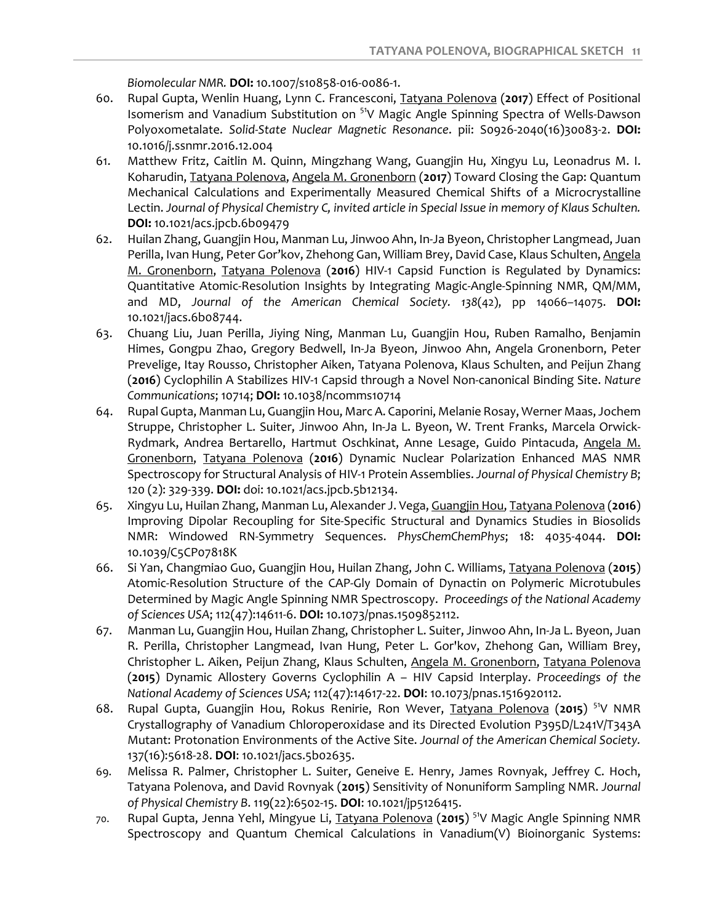*Biomolecular NMR.* **DOI:** 10.1007/s10858-016-0086-1.

- 60. Rupal Gupta, Wenlin Huang, Lynn C. Francesconi, Tatyana Polenova (**2017**) Effect of Positional Isomerism and Vanadium Substitution on <sup>51</sup>V Magic Angle Spinning Spectra of Wells-Dawson Polyoxometalate. *Solid-State Nuclear Magnetic Resonance*. pii: S0926-2040(16)30083-2. **DOI:** 10.1016/j.ssnmr.2016.12.004
- 61. Matthew Fritz, Caitlin M. Quinn, Mingzhang Wang, Guangjin Hu, Xingyu Lu, Leonadrus M. I. Koharudin, Tatyana Polenova, Angela M. Gronenborn (**2017**) Toward Closing the Gap: Quantum Mechanical Calculations and Experimentally Measured Chemical Shifts of a Microcrystalline Lectin. *Journal of Physical Chemistry C, invited article in Special Issue in memory of Klaus Schulten.* **DOI:** 10.1021/acs.jpcb.6b09479
- 62. Huilan Zhang, Guangjin Hou, Manman Lu, Jinwoo Ahn, In-Ja Byeon, Christopher Langmead, Juan Perilla, Ivan Hung, Peter Gor'kov, Zhehong Gan, William Brey, David Case, Klaus Schulten, Angela M. Gronenborn, Tatyana Polenova (**2016**) HIV-1 Capsid Function is Regulated by Dynamics: Quantitative Atomic-Resolution Insights by Integrating Magic-Angle-Spinning NMR, QM/MM, and MD, *Journal of the American Chemical Society. 138*(42), pp 14066–14075. **DOI:** 10.1021/jacs.6b08744.
- 63. Chuang Liu, Juan Perilla, Jiying Ning, Manman Lu, Guangjin Hou, Ruben Ramalho, Benjamin Himes, Gongpu Zhao, Gregory Bedwell, In-Ja Byeon, Jinwoo Ahn, Angela Gronenborn, Peter Prevelige, Itay Rousso, Christopher Aiken, Tatyana Polenova, Klaus Schulten, and Peijun Zhang (**2016**) Cyclophilin A Stabilizes HIV-1 Capsid through a Novel Non-canonical Binding Site. *Nature Communications*; 10714; **DOI:** 10.1038/ncomms10714
- 64. Rupal Gupta, Manman Lu, Guangjin Hou, Marc A. Caporini, Melanie Rosay, Werner Maas, Jochem Struppe, Christopher L. Suiter, Jinwoo Ahn, In-Ja L. Byeon, W. Trent Franks, Marcela Orwick-Rydmark, Andrea Bertarello, Hartmut Oschkinat, Anne Lesage, Guido Pintacuda, Angela M. Gronenborn, Tatyana Polenova (**2016**) Dynamic Nuclear Polarization Enhanced MAS NMR Spectroscopy for Structural Analysis of HIV-1 Protein Assemblies. *Journal of Physical Chemistry B*; 120 (2): 329-339. **DOI:** doi: 10.1021/acs.jpcb.5b12134.
- 65. Xingyu Lu, Huilan Zhang, Manman Lu, Alexander J. Vega, Guangjin Hou, Tatyana Polenova (**2016**) Improving Dipolar Recoupling for Site-Specific Structural and Dynamics Studies in Biosolids NMR: Windowed RN-Symmetry Sequences. *PhysChemChemPhys*; 18: 4035-4044. **DOI:** 10.1039/C5CP07818K
- 66. Si Yan, Changmiao Guo, Guangjin Hou, Huilan Zhang, John C. Williams, Tatyana Polenova (**2015**) Atomic-Resolution Structure of the CAP-Gly Domain of Dynactin on Polymeric Microtubules Determined by Magic Angle Spinning NMR Spectroscopy. *Proceedings of the National Academy of Sciences USA*; 112(47):14611-6. **DOI:** 10.1073/pnas.1509852112.
- 67. Manman Lu, Guangjin Hou, Huilan Zhang, Christopher L. Suiter, Jinwoo Ahn, In-Ja L. Byeon, Juan R. Perilla, Christopher Langmead, Ivan Hung, Peter L. Gor'kov, Zhehong Gan, William Brey, Christopher L. Aiken, Peijun Zhang, Klaus Schulten, Angela M. Gronenborn, Tatyana Polenova (**2015**) Dynamic Allostery Governs Cyclophilin A – HIV Capsid Interplay. *Proceedings of the National Academy of Sciences USA;* 112(47):14617-22. **DOI**: 10.1073/pnas.1516920112.
- 68. Rupal Gupta, Guangjin Hou, Rokus Renirie, Ron Wever, Tatyana Polenova (**2015**) 51V NMR Crystallography of Vanadium Chloroperoxidase and its Directed Evolution P395D/L241V/T343A Mutant: Protonation Environments of the Active Site. *Journal of the American Chemical Society.* 137(16):5618-28. **DOI**: 10.1021/jacs.5b02635.
- 69. Melissa R. Palmer, Christopher L. Suiter, Geneive E. Henry, James Rovnyak, Jeffrey C. Hoch, Tatyana Polenova, and David Rovnyak (**2015**) Sensitivity of Nonuniform Sampling NMR. *Journal of Physical Chemistry B*. 119(22):6502-15. **DOI**: 10.1021/jp5126415.
- 70. Rupal Gupta, Jenna Yehl, Mingyue Li, Tatyana Polenova (**2015**) 51V Magic Angle Spinning NMR Spectroscopy and Quantum Chemical Calculations in Vanadium(V) Bioinorganic Systems: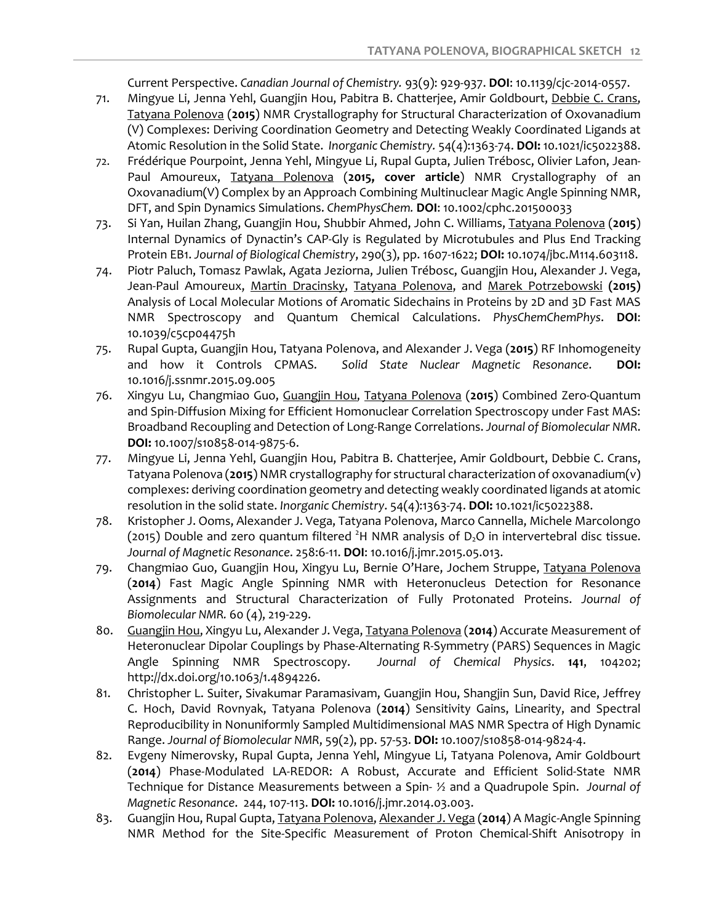Current Perspective. *Canadian Journal of Chemistry.* 93(9): 929-937. **DOI**: 10.1139/cjc-2014-0557.

- 71. Mingyue Li, Jenna Yehl, Guangjin Hou, Pabitra B. Chatterjee, Amir Goldbourt, Debbie C. Crans, Tatyana Polenova (**2015**) NMR Crystallography for Structural Characterization of Oxovanadium (V) Complexes: Deriving Coordination Geometry and Detecting Weakly Coordinated Ligands at Atomic Resolution in the Solid State. *Inorganic Chemistry.* 54(4):1363-74. **DOI:** 10.1021/ic5022388.
- 72. Frédérique Pourpoint, Jenna Yehl, Mingyue Li, Rupal Gupta, Julien Trébosc, Olivier Lafon, Jean-Paul Amoureux, Tatyana Polenova (**2015, cover article**) NMR Crystallography of an Oxovanadium(V) Complex by an Approach Combining Multinuclear Magic Angle Spinning NMR, DFT, and Spin Dynamics Simulations. *ChemPhysChem.* **DOI**: 10.1002/cphc.201500033
- 73. Si Yan, Huilan Zhang, Guangjin Hou, Shubbir Ahmed, John C. Williams, Tatyana Polenova (**2015**) Internal Dynamics of Dynactin's CAP-Gly is Regulated by Microtubules and Plus End Tracking Protein EB1. *Journal of Biological Chemistry*, 290(3), pp. 1607-1622; **DOI:** 10.1074/jbc.M114.603118.
- 74. Piotr Paluch, Tomasz Pawlak, Agata Jeziorna, Julien Trébosc, Guangjin Hou, Alexander J. Vega, Jean-Paul Amoureux, Martin Dracinsky, Tatyana Polenova, and Marek Potrzebowski **(2015)** Analysis of Local Molecular Motions of Aromatic Sidechains in Proteins by 2D and 3D Fast MAS NMR Spectroscopy and Quantum Chemical Calculations. *PhysChemChemPhys*. **DOI**: 10.1039/c5cp04475h
- 75. Rupal Gupta, Guangjin Hou, Tatyana Polenova, and Alexander J. Vega (**2015**) RF Inhomogeneity and how it Controls CPMAS. *Solid State Nuclear Magnetic Resonance*. **DOI:** 10.1016/j.ssnmr.2015.09.005
- 76. Xingyu Lu, Changmiao Guo, Guangjin Hou, Tatyana Polenova (**2015**) Combined Zero-Quantum and Spin-Diffusion Mixing for Efficient Homonuclear Correlation Spectroscopy under Fast MAS: Broadband Recoupling and Detection of Long-Range Correlations. *Journal of Biomolecular NMR*. **DOI:** 10.1007/s10858-014-9875-6.
- 77. Mingyue Li, Jenna Yehl, Guangjin Hou, Pabitra B. Chatterjee, Amir Goldbourt, Debbie C. Crans, Tatyana Polenova (**2015**) NMR crystallography for structural characterization of oxovanadium(v) complexes: deriving coordination geometry and detecting weakly coordinated ligands at atomic resolution in the solid state. *Inorganic Chemistry*. 54(4):1363-74. **DOI:** 10.1021/ic5022388.
- 78. Kristopher J. Ooms, Alexander J. Vega, Tatyana Polenova, Marco Cannella, Michele Marcolongo (2015) Double and zero quantum filtered  ${}^{2}H$  NMR analysis of D<sub>2</sub>O in intervertebral disc tissue. *Journal of Magnetic Resonance*. 258:6-11. **DOI**: 10.1016/j.jmr.2015.05.013.
- 79. Changmiao Guo, Guangjin Hou, Xingyu Lu, Bernie O'Hare, Jochem Struppe, Tatyana Polenova (**2014**) Fast Magic Angle Spinning NMR with Heteronucleus Detection for Resonance Assignments and Structural Characterization of Fully Protonated Proteins. *Journal of Biomolecular NMR.* 60 (4), 219-229.
- 80. Guangjin Hou, Xingyu Lu, Alexander J. Vega, Tatyana Polenova (**2014**) Accurate Measurement of Heteronuclear Dipolar Couplings by Phase-Alternating R-Symmetry (PARS) Sequences in Magic Angle Spinning NMR Spectroscopy. *Journal of Chemical Physics*. **141**, 104202; http://dx.doi.org/10.1063/1.4894226.
- 81. Christopher L. Suiter, Sivakumar Paramasivam, Guangjin Hou, Shangjin Sun, David Rice, Jeffrey C. Hoch, David Rovnyak, Tatyana Polenova (**2014**) Sensitivity Gains, Linearity, and Spectral Reproducibility in Nonuniformly Sampled Multidimensional MAS NMR Spectra of High Dynamic Range. *Journal of Biomolecular NMR*, 59(2), pp. 57-53. **DOI:** 10.1007/s10858-014-9824-4.
- 82. Evgeny Nimerovsky, Rupal Gupta, Jenna Yehl, Mingyue Li, Tatyana Polenova, Amir Goldbourt (**2014**) Phase-Modulated LA-REDOR: A Robust, Accurate and Efficient Solid-State NMR Technique for Distance Measurements between a Spin- ½ and a Quadrupole Spin. *Journal of Magnetic Resonance*. 244, 107-113. **DOI:** 10.1016/j.jmr.2014.03.003.
- 83. Guangjin Hou, Rupal Gupta, Tatyana Polenova, Alexander J. Vega (**2014**) A Magic-Angle Spinning NMR Method for the Site-Specific Measurement of Proton Chemical-Shift Anisotropy in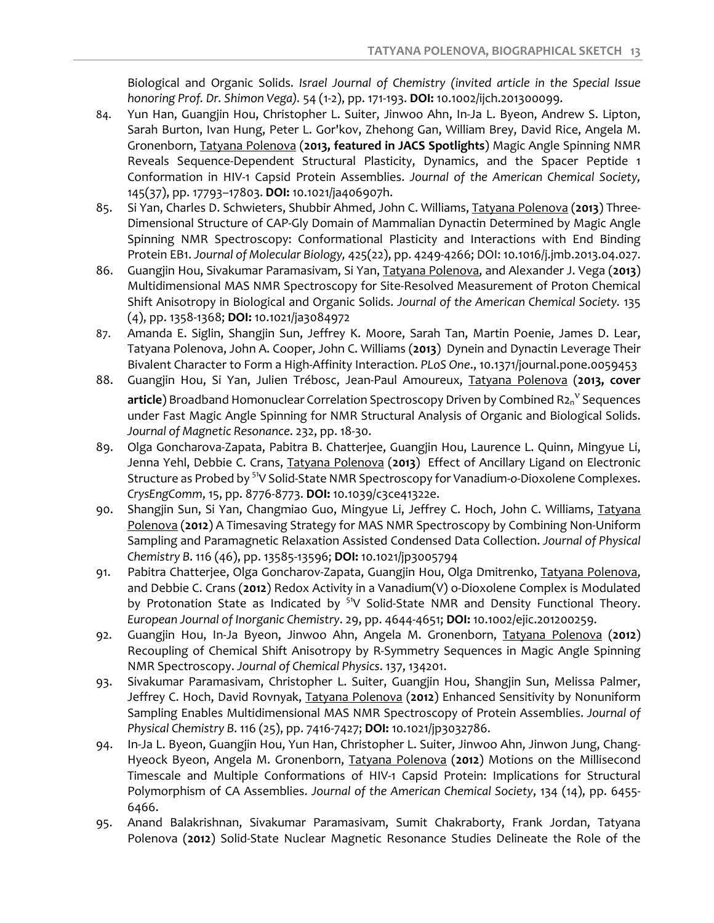Biological and Organic Solids. *Israel Journal of Chemistry (invited article in the Special Issue honoring Prof. Dr. Shimon Vega).* 54 (1-2), pp. 171-193. **DOI:** 10.1002/ijch.201300099.

- 84. Yun Han, Guangjin Hou, Christopher L. Suiter, Jinwoo Ahn, In-Ja L. Byeon, Andrew S. Lipton, Sarah Burton, Ivan Hung, Peter L. Gor'kov, Zhehong Gan, William Brey, David Rice, Angela M. Gronenborn, Tatyana Polenova (**2013, featured in JACS Spotlights**) Magic Angle Spinning NMR Reveals Sequence-Dependent Structural Plasticity, Dynamics, and the Spacer Peptide 1 Conformation in HIV-1 Capsid Protein Assemblies. *Journal of the American Chemical Society,*  145(37), pp. 17793–17803. **DOI:** 10.1021/ja406907h.
- 85. Si Yan, Charles D. Schwieters, Shubbir Ahmed, John C. Williams, Tatyana Polenova (**2013**) Three-Dimensional Structure of CAP-Gly Domain of Mammalian Dynactin Determined by Magic Angle Spinning NMR Spectroscopy: Conformational Plasticity and Interactions with End Binding Protein EB1. *Journal of Molecular Biology,* 425(22), pp. 4249-4266; DOI: 10.1016/j.jmb.2013.04.027.
- 86. Guangjin Hou, Sivakumar Paramasivam, Si Yan, Tatyana Polenova, and Alexander J. Vega (**2013**) Multidimensional MAS NMR Spectroscopy for Site-Resolved Measurement of Proton Chemical Shift Anisotropy in Biological and Organic Solids. *Journal of the American Chemical Society.* 135 (4), pp. 1358-1368; **DOI:** 10.1021/ja3084972
- 87. Amanda E. Siglin, Shangjin Sun, Jeffrey K. Moore, Sarah Tan, Martin Poenie, James D. Lear, Tatyana Polenova, John A. Cooper, John C. Williams (**2013**) Dynein and Dynactin Leverage Their Bivalent Character to Form a High-Affinity Interaction. *PLoS One*., 10.1371/journal.pone.0059453
- 88. Guangjin Hou, Si Yan, Julien Trébosc, Jean-Paul Amoureux, Tatyana Polenova (**2013, cover article**) Broadband Homonuclear Correlation Spectroscopy Driven by Combined R2n<sup>v</sup> Sequences under Fast Magic Angle Spinning for NMR Structural Analysis of Organic and Biological Solids. *Journal of Magnetic Resonance*. 232, pp. 18-30.
- 89. Olga Goncharova-Zapata, Pabitra B. Chatterjee, Guangjin Hou, Laurence L. Quinn, Mingyue Li, Jenna Yehl, Debbie C. Crans, Tatyana Polenova (**2013**) Effect of Ancillary Ligand on Electronic Structure as Probed by 51V Solid-State NMR Spectroscopy for Vanadium-*o*-Dioxolene Complexes. *CrysEngComm*, 15, pp. 8776-8773. **DOI:** 10.1039/c3ce41322e.
- 90. Shangjin Sun, Si Yan, Changmiao Guo, Mingyue Li, Jeffrey C. Hoch, John C. Williams, Tatyana Polenova (**2012**) A Timesaving Strategy for MAS NMR Spectroscopy by Combining Non-Uniform Sampling and Paramagnetic Relaxation Assisted Condensed Data Collection. *Journal of Physical Chemistry B*. 116 (46), pp. 13585-13596; **DOI:** 10.1021/jp3005794
- 91. Pabitra Chatterjee, Olga Goncharov-Zapata, Guangjin Hou, Olga Dmitrenko, Tatyana Polenova, and Debbie C. Crans (**2012**) Redox Activity in a Vanadium(V) o-Dioxolene Complex is Modulated by Protonation State as Indicated by  $5^{1}V$  Solid-State NMR and Density Functional Theory. *European Journal of Inorganic Chemistry*. 29, pp. 4644-4651; **DOI:** 10.1002/ejic.201200259.
- 92. Guangjin Hou, In-Ja Byeon, Jinwoo Ahn, Angela M. Gronenborn, Tatyana Polenova (**2012**) Recoupling of Chemical Shift Anisotropy by R-Symmetry Sequences in Magic Angle Spinning NMR Spectroscopy. *Journal of Chemical Physics*. 137, 134201.
- 93. Sivakumar Paramasivam, Christopher L. Suiter, Guangjin Hou, Shangjin Sun, Melissa Palmer, Jeffrey C. Hoch, David Rovnyak, Tatyana Polenova (**2012**) Enhanced Sensitivity by Nonuniform Sampling Enables Multidimensional MAS NMR Spectroscopy of Protein Assemblies. *Journal of Physical Chemistry B*. 116 (25), pp. 7416-7427; **DOI:** 10.1021/jp3032786.
- 94. In-Ja L. Byeon, Guangjin Hou, Yun Han, Christopher L. Suiter, Jinwoo Ahn, Jinwon Jung, Chang-Hyeock Byeon, Angela M. Gronenborn, Tatyana Polenova (**2012**) Motions on the Millisecond Timescale and Multiple Conformations of HIV-1 Capsid Protein: Implications for Structural Polymorphism of CA Assemblies. *Journal of the American Chemical Society*, 134 (14), pp. 6455- 6466.
- 95. Anand Balakrishnan, Sivakumar Paramasivam, Sumit Chakraborty, Frank Jordan, Tatyana Polenova (**2012**) Solid-State Nuclear Magnetic Resonance Studies Delineate the Role of the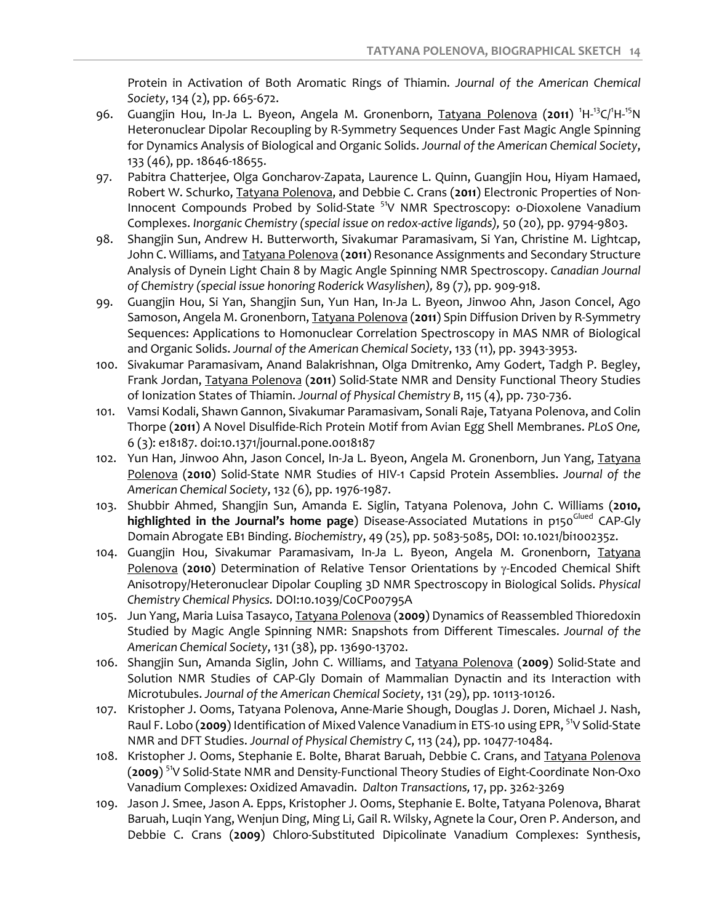Protein in Activation of Both Aromatic Rings of Thiamin. *Journal of the American Chemical Society*, 134 (2), pp. 665-672.

- 96. Guangjin Hou, In-Ja L. Byeon, Angela M. Gronenborn, Tatyana Polenova (2011) <sup>1</sup>H-<sup>13</sup>C/<sup>1</sup>H-<sup>15</sup>N Heteronuclear Dipolar Recoupling by R-Symmetry Sequences Under Fast Magic Angle Spinning for Dynamics Analysis of Biological and Organic Solids. *Journal of the American Chemical Society*, 133 (46), pp. 18646-18655.
- 97. Pabitra Chatterjee, Olga Goncharov-Zapata, Laurence L. Quinn, Guangjin Hou, Hiyam Hamaed, Robert W. Schurko, Tatyana Polenova, and Debbie C. Crans (**2011**) Electronic Properties of Non-Innocent Compounds Probed by Solid-State <sup>51</sup>V NMR Spectroscopy: o-Dioxolene Vanadium Complexes. *Inorganic Chemistry (special issue on redox-active ligands),* 50 (20), pp. 9794-9803.
- 98. Shangjin Sun, Andrew H. Butterworth, Sivakumar Paramasivam, Si Yan, Christine M. Lightcap, John C. Williams, and Tatyana Polenova (**2011**) Resonance Assignments and Secondary Structure Analysis of Dynein Light Chain 8 by Magic Angle Spinning NMR Spectroscopy. *Canadian Journal of Chemistry (special issue honoring Roderick Wasylishen),* 89 (7), pp. 909-918.
- 99. Guangjin Hou, Si Yan, Shangjin Sun, Yun Han, In-Ja L. Byeon, Jinwoo Ahn, Jason Concel, Ago Samoson, Angela M. Gronenborn, Tatyana Polenova (**2011**) Spin Diffusion Driven by R-Symmetry Sequences: Applications to Homonuclear Correlation Spectroscopy in MAS NMR of Biological and Organic Solids. *Journal of the American Chemical Society*, 133 (11), pp. 3943-3953.
- 100. Sivakumar Paramasivam, Anand Balakrishnan, Olga Dmitrenko, Amy Godert, Tadgh P. Begley, Frank Jordan, Tatyana Polenova (**2011**) Solid-State NMR and Density Functional Theory Studies of Ionization States of Thiamin. *Journal of Physical Chemistry B*, 115 (4), pp. 730-736.
- 101. Vamsi Kodali, Shawn Gannon, Sivakumar Paramasivam, Sonali Raje, Tatyana Polenova, and Colin Thorpe (**2011**) A Novel Disulfide-Rich Protein Motif from Avian Egg Shell Membranes. *PLoS One,*  6 (3): e18187. doi:10.1371/journal.pone.0018187
- 102. Yun Han, Jinwoo Ahn, Jason Concel, In-Ja L. Byeon, Angela M. Gronenborn, Jun Yang, Tatyana Polenova (**2010**) Solid-State NMR Studies of HIV-1 Capsid Protein Assemblies. *Journal of the American Chemical Society*, 132 (6), pp. 1976-1987.
- 103. Shubbir Ahmed, Shangjin Sun, Amanda E. Siglin, Tatyana Polenova, John C. Williams (**2010,**  highlighted in the Journal's home page) Disease-Associated Mutations in p150<sup>Glued</sup> CAP-Gly Domain Abrogate EB1 Binding. *Biochemistry*, 49 (25), pp. 5083-5085, DOI: 10.1021/bi100235z.
- 104. Guangjin Hou, Sivakumar Paramasivam, In-Ja L. Byeon, Angela M. Gronenborn, Tatyana Polenova (2010) Determination of Relative Tensor Orientations by y-Encoded Chemical Shift Anisotropy/Heteronuclear Dipolar Coupling 3D NMR Spectroscopy in Biological Solids. *Physical Chemistry Chemical Physics.* DOI:10.1039/C0CP00795A
- 105. Jun Yang, Maria Luisa Tasayco, Tatyana Polenova (**2009**) Dynamics of Reassembled Thioredoxin Studied by Magic Angle Spinning NMR: Snapshots from Different Timescales. *Journal of the American Chemical Society*, 131 (38), pp. 13690-13702.
- 106. Shangjin Sun, Amanda Siglin, John C. Williams, and Tatyana Polenova (**2009**) Solid-State and Solution NMR Studies of CAP-Gly Domain of Mammalian Dynactin and its Interaction with Microtubules. *Journal of the American Chemical Society*, 131 (29), pp. 10113-10126.
- 107. Kristopher J. Ooms, Tatyana Polenova, Anne-Marie Shough, Douglas J. Doren, Michael J. Nash, Raul F. Lobo (**2009**) Identification of Mixed Valence Vanadium in ETS-10 using EPR, 51V Solid-State NMR and DFT Studies. *Journal of Physical Chemistry C*, 113 (24), pp. 10477-10484.
- 108. Kristopher J. Ooms, Stephanie E. Bolte, Bharat Baruah, Debbie C. Crans, and Tatyana Polenova (**2009**) 51V Solid-State NMR and Density-Functional Theory Studies of Eight-Coordinate Non-Oxo Vanadium Complexes: Oxidized Amavadin. *Dalton Transactions,* 17, pp. 3262-3269
- 109. Jason J. Smee, Jason A. Epps, Kristopher J. Ooms, Stephanie E. Bolte, Tatyana Polenova, Bharat Baruah, Luqin Yang, Wenjun Ding, Ming Li, Gail R. Wilsky, Agnete la Cour, Oren P. Anderson, and Debbie C. Crans (**2009**) Chloro-Substituted Dipicolinate Vanadium Complexes: Synthesis,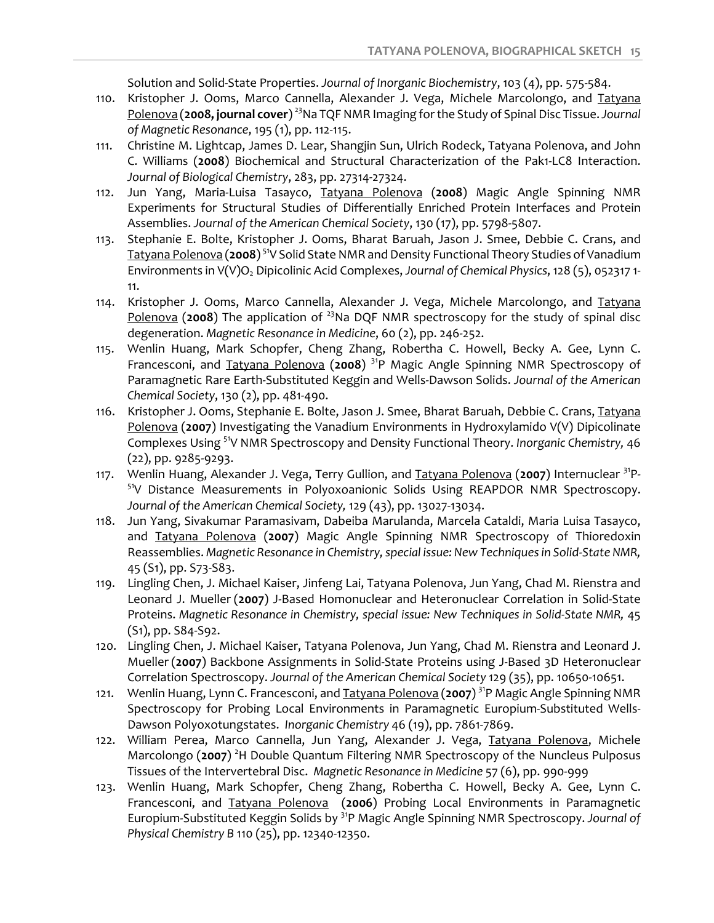Solution and Solid-State Properties. *Journal of Inorganic Biochemistry*, 103 (4), pp. 575-584.

- 110. Kristopher J. Ooms, Marco Cannella, Alexander J. Vega, Michele Marcolongo, and Tatyana Polenova (**2008, journal cover**) 23Na TQF NMR Imaging for the Study of Spinal Disc Tissue. *Journal of Magnetic Resonance*, 195 (1), pp. 112-115.
- 111. Christine M. Lightcap, James D. Lear, Shangjin Sun, Ulrich Rodeck, Tatyana Polenova, and John C. Williams (**2008**) Biochemical and Structural Characterization of the Pak1-LC8 Interaction. *Journal of Biological Chemistry*, 283, pp. 27314-27324.
- 112. Jun Yang, Maria-Luisa Tasayco, Tatyana Polenova (**2008**) Magic Angle Spinning NMR Experiments for Structural Studies of Differentially Enriched Protein Interfaces and Protein Assemblies. *Journal of the American Chemical Society*, 130 (17), pp. 5798-5807.
- 113. Stephanie E. Bolte, Kristopher J. Ooms, Bharat Baruah, Jason J. Smee, Debbie C. Crans, and Tatyana Polenova (**2008**) 51V Solid State NMR and Density Functional Theory Studies of Vanadium Environments in V(V)O<sub>2</sub> Dipicolinic Acid Complexes, *Journal of Chemical Physics*, 128 (5), 052317 1-11.
- 114. Kristopher J. Ooms, Marco Cannella, Alexander J. Vega, Michele Marcolongo, and Tatyana Polenova (2008) The application of <sup>23</sup>Na DQF NMR spectroscopy for the study of spinal disc degeneration. *Magnetic Resonance in Medicine*, 60 (2), pp. 246-252.
- 115. Wenlin Huang, Mark Schopfer, Cheng Zhang, Robertha C. Howell, Becky A. Gee, Lynn C. Francesconi, and Tatyana Polenova (**2008**) 31P Magic Angle Spinning NMR Spectroscopy of Paramagnetic Rare Earth-Substituted Keggin and Wells-Dawson Solids. *Journal of the American Chemical Society*, 130 (2), pp. 481-490.
- 116. Kristopher J. Ooms, Stephanie E. Bolte, Jason J. Smee, Bharat Baruah, Debbie C. Crans, Tatyana Polenova (**2007**) Investigating the Vanadium Environments in Hydroxylamido V(V) Dipicolinate Complexes Using 51V NMR Spectroscopy and Density Functional Theory. *Inorganic Chemistry,* 46 (22), pp. 9285-9293.
- 117. Wenlin Huang, Alexander J. Vega, Terry Gullion, and Tatyana Polenova (**2007**) Internuclear 31P- <sup>51</sup>V Distance Measurements in Polyoxoanionic Solids Using REAPDOR NMR Spectroscopy. *Journal of the American Chemical Society,* 129 (43), pp. 13027-13034.
- 118. Jun Yang, Sivakumar Paramasivam, Dabeiba Marulanda, Marcela Cataldi, Maria Luisa Tasayco, and Tatyana Polenova (**2007**) Magic Angle Spinning NMR Spectroscopy of Thioredoxin Reassemblies. *Magnetic Resonance in Chemistry, special issue: New Techniques in Solid-State NMR,* 45 (S1), pp. S73-S83.
- 119. Lingling Chen, J. Michael Kaiser, Jinfeng Lai, Tatyana Polenova, Jun Yang, Chad M. Rienstra and Leonard J. Mueller (**2007**) J-Based Homonuclear and Heteronuclear Correlation in Solid-State Proteins. *Magnetic Resonance in Chemistry, special issue: New Techniques in Solid-State NMR,* 45 (S1), pp. S84-S92.
- 120. Lingling Chen, J. Michael Kaiser, Tatyana Polenova, Jun Yang, Chad M. Rienstra and Leonard J. Mueller (**2007**) Backbone Assignments in Solid-State Proteins using J-Based 3D Heteronuclear Correlation Spectroscopy. *Journal of the American Chemical Society* 129 (35), pp. 10650-10651.
- 121. Wenlin Huang, Lynn C. Francesconi, and Tatyana Polenova (**2007**) 31P Magic Angle Spinning NMR Spectroscopy for Probing Local Environments in Paramagnetic Europium-Substituted Wells-Dawson Polyoxotungstates. *Inorganic Chemistry* 46 (19), pp. 7861-7869.
- 122. William Perea, Marco Cannella, Jun Yang, Alexander J. Vega, Tatyana Polenova, Michele Marcolongo (2007)<sup>2</sup>H Double Quantum Filtering NMR Spectroscopy of the Nuncleus Pulposus Tissues of the Intervertebral Disc. *Magnetic Resonance in Medicine* 57 (6), pp. 990-999
- 123. Wenlin Huang, Mark Schopfer, Cheng Zhang, Robertha C. Howell, Becky A. Gee, Lynn C. Francesconi, and Tatyana Polenova (**2006**) Probing Local Environments in Paramagnetic Europium-Substituted Keggin Solids by 31P Magic Angle Spinning NMR Spectroscopy. *Journal of Physical Chemistry B* 110 (25), pp. 12340-12350.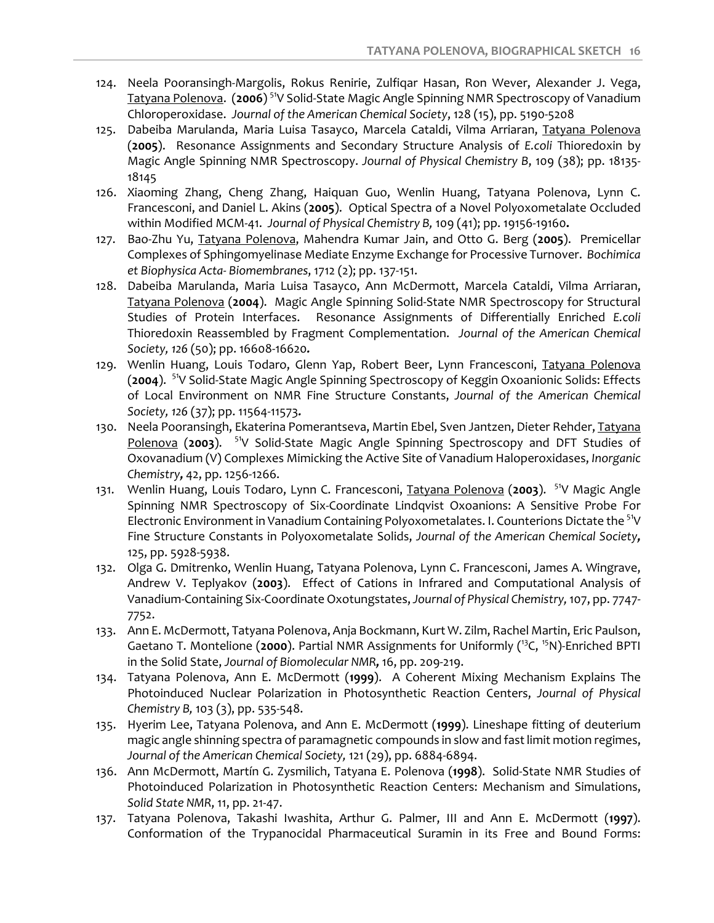- 124. Neela Pooransingh-Margolis, Rokus Renirie, Zulfiqar Hasan, Ron Wever, Alexander J. Vega, Tatyana Polenova. (**2006**) 51V Solid-State Magic Angle Spinning NMR Spectroscopy of Vanadium Chloroperoxidase. *Journal of the American Chemical Society*, 128 (15), pp. 5190-5208
- 125. Dabeiba Marulanda, Maria Luisa Tasayco, Marcela Cataldi, Vilma Arriaran, Tatyana Polenova (**2005**). Resonance Assignments and Secondary Structure Analysis of *E.coli* Thioredoxin by Magic Angle Spinning NMR Spectroscopy. *Journal of Physical Chemistry B*, 109 (38); pp. 18135- 18145
- 126. Xiaoming Zhang, Cheng Zhang, Haiquan Guo, Wenlin Huang, Tatyana Polenova, Lynn C. Francesconi, and Daniel L. Akins (**2005**). Optical Spectra of a Novel Polyoxometalate Occluded within Modified MCM-41. *Journal of Physical Chemistry B,* 109 (41); pp. 19156-19160**.**
- 127. Bao-Zhu Yu, Tatyana Polenova, Mahendra Kumar Jain, and Otto G. Berg (**2005**). Premicellar Complexes of Sphingomyelinase Mediate Enzyme Exchange for Processive Turnover. *Bochimica et Biophysica Acta- Biomembranes*, 1712 (2); pp. 137-151.
- 128. Dabeiba Marulanda, Maria Luisa Tasayco, Ann McDermott, Marcela Cataldi, Vilma Arriaran, Tatyana Polenova (**2004**). Magic Angle Spinning Solid-State NMR Spectroscopy for Structural Studies of Protein Interfaces. Resonance Assignments of Differentially Enriched *E.coli* Thioredoxin Reassembled by Fragment Complementation. *Journal of the American Chemical Society, 126* (50); pp. 16608-16620*.*
- 129. Wenlin Huang, Louis Todaro, Glenn Yap, Robert Beer, Lynn Francesconi, Tatyana Polenova (**2004**). 51V Solid-State Magic Angle Spinning Spectroscopy of Keggin Oxoanionic Solids: Effects of Local Environment on NMR Fine Structure Constants, *Journal of the American Chemical Society, 126* (37); pp. 11564-11573*.*
- 130. Neela Pooransingh, Ekaterina Pomerantseva, Martin Ebel, Sven Jantzen, Dieter Rehder, Tatyana Polenova (2003). <sup>51</sup>V Solid-State Magic Angle Spinning Spectroscopy and DFT Studies of Oxovanadium (V) Complexes Mimicking the Active Site of Vanadium Haloperoxidases, *Inorganic Chemistry,* 42, pp. 1256-1266.
- 131. Wenlin Huang, Louis Todaro, Lynn C. Francesconi, Tatyana Polenova (**2003**). 51V Magic Angle Spinning NMR Spectroscopy of Six-Coordinate Lindqvist Oxoanions: A Sensitive Probe For Electronic Environment in Vanadium Containing Polyoxometalates. I. Counterions Dictate the <sup>51</sup>V Fine Structure Constants in Polyoxometalate Solids, *Journal of the American Chemical Society,* 125, pp. 5928-5938.
- 132. Olga G. Dmitrenko, Wenlin Huang, Tatyana Polenova, Lynn C. Francesconi, James A. Wingrave, Andrew V. Teplyakov (**2003**). Effect of Cations in Infrared and Computational Analysis of Vanadium-Containing Six-Coordinate Oxotungstates, *Journal of Physical Chemistry,* 107, pp. 7747- 7752.
- 133. Ann E. McDermott, Tatyana Polenova, Anja Bockmann, Kurt W. Zilm, Rachel Martin, Eric Paulson, Gaetano T. Montelione (2000). Partial NMR Assignments for Uniformly (<sup>13</sup>C, <sup>15</sup>N)-Enriched BPTI in the Solid State, *Journal of Biomolecular NMR,* 16, pp. 209-219.
- 134. Tatyana Polenova, Ann E. McDermott (**1999**). A Coherent Mixing Mechanism Explains The Photoinduced Nuclear Polarization in Photosynthetic Reaction Centers, *Journal of Physical Chemistry B,* 103 (3), pp. 535-548.
- 135. Hyerim Lee, Tatyana Polenova, and Ann E. McDermott (**1999**). Lineshape fitting of deuterium magic angle shinning spectra of paramagnetic compounds in slow and fast limit motion regimes, *Journal of the American Chemical Society,* 121 (29), pp. 6884-6894.
- 136. Ann McDermott, Martín G. Zysmilich, Tatyana E. Polenova (**1998**). Solid-State NMR Studies of Photoinduced Polarization in Photosynthetic Reaction Centers: Mechanism and Simulations, *Solid State NMR*, 11, pp. 21-47.
- 137. Tatyana Polenova, Takashi Iwashita, Arthur G. Palmer, III and Ann E. McDermott (**1997**). Conformation of the Trypanocidal Pharmaceutical Suramin in its Free and Bound Forms: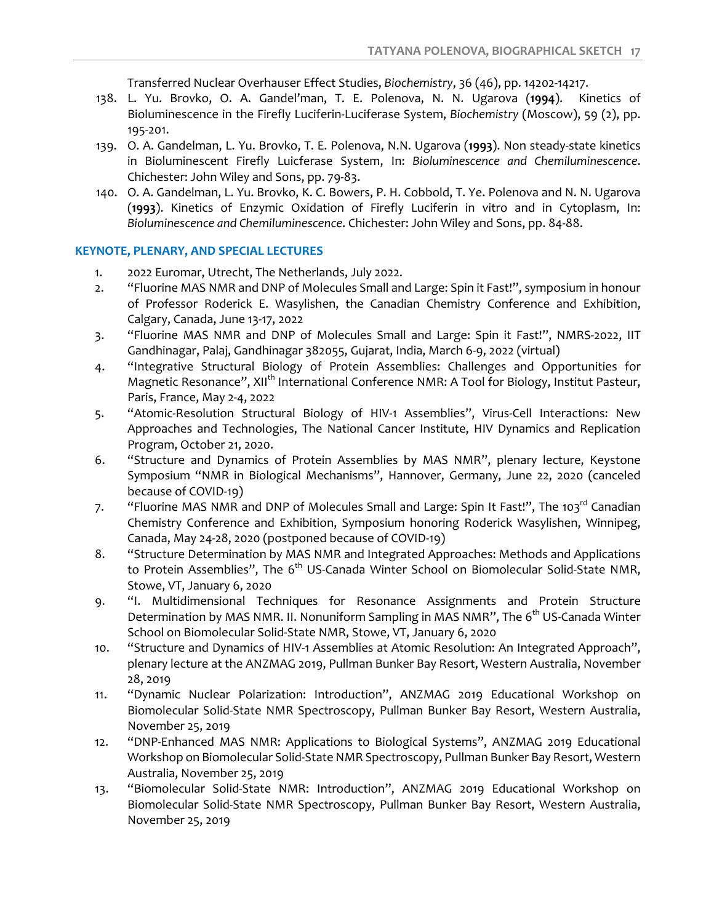Transferred Nuclear Overhauser Effect Studies, *Biochemistry*, 36 (46), pp. 14202-14217.

- 138. L. Yu. Brovko, O. A. Gandel'man, T. E. Polenova, N. N. Ugarova (**1994**). Kinetics of Bioluminescence in the Firefly Luciferin-Luciferase System, *Biochemistry* (Moscow), 59 (2), pp. 195-201.
- 139. O. A. Gandelman, L. Yu. Brovko, T. E. Polenova, N.N. Ugarova (**1993**). Non steady-state kinetics in Bioluminescent Firefly Luicferase System, In: *Bioluminescence and Chemiluminescence*. Chichester: John Wiley and Sons, pp. 79-83.
- 140. O. A. Gandelman, L. Yu. Brovko, K. C. Bowers, P. H. Cobbold, T. Ye. Polenova and N. N. Ugarova (**1993**). Kinetics of Enzymic Oxidation of Firefly Luciferin in vitro and in Cytoplasm, In: *Bioluminescence and Chemiluminescence*. Chichester: John Wiley and Sons, pp. 84-88.

#### **KEYNOTE, PLENARY, AND SPECIAL LECTURES**

- 1. 2022 Euromar, Utrecht, The Netherlands, July 2022.
- 2. "Fluorine MAS NMR and DNP of Molecules Small and Large: Spin it Fast!", symposium in honour of Professor Roderick E. Wasylishen, the Canadian Chemistry Conference and Exhibition, Calgary, Canada, June 13-17, 2022
- 3. "Fluorine MAS NMR and DNP of Molecules Small and Large: Spin it Fast!", NMRS-2022, IIT Gandhinagar, Palaj, Gandhinagar 382055, Gujarat, India, March 6-9, 2022 (virtual)
- 4. "Integrative Structural Biology of Protein Assemblies: Challenges and Opportunities for Magnetic Resonance", XII<sup>th</sup> International Conference NMR: A Tool for Biology, Institut Pasteur, Paris, France, May 2-4, 2022
- 5. "Atomic-Resolution Structural Biology of HIV-1 Assemblies", Virus-Cell Interactions: New Approaches and Technologies, The National Cancer Institute, HIV Dynamics and Replication Program, October 21, 2020.
- 6. "Structure and Dynamics of Protein Assemblies by MAS NMR", plenary lecture, Keystone Symposium "NMR in Biological Mechanisms", Hannover, Germany, June 22, 2020 (canceled because of COVID-19)
- 7. "Fluorine MAS NMR and DNP of Molecules Small and Large: Spin It Fast!", The 103<sup>rd</sup> Canadian Chemistry Conference and Exhibition, Symposium honoring Roderick Wasylishen, Winnipeg, Canada, May 24-28, 2020 (postponed because of COVID-19)
- 8. "Structure Determination by MAS NMR and Integrated Approaches: Methods and Applications to Protein Assemblies", The 6<sup>th</sup> US-Canada Winter School on Biomolecular Solid-State NMR, Stowe, VT, January 6, 2020
- 9. "I. Multidimensional Techniques for Resonance Assignments and Protein Structure Determination by MAS NMR. II. Nonuniform Sampling in MAS NMR", The 6<sup>th</sup> US-Canada Winter School on Biomolecular Solid-State NMR, Stowe, VT, January 6, 2020
- 10. "Structure and Dynamics of HIV-1 Assemblies at Atomic Resolution: An Integrated Approach", plenary lecture at the ANZMAG 2019, Pullman Bunker Bay Resort, Western Australia, November 28, 2019
- 11. "Dynamic Nuclear Polarization: Introduction", ANZMAG 2019 Educational Workshop on Biomolecular Solid-State NMR Spectroscopy, Pullman Bunker Bay Resort, Western Australia, November 25, 2019
- 12. "DNP-Enhanced MAS NMR: Applications to Biological Systems", ANZMAG 2019 Educational Workshop on Biomolecular Solid-State NMR Spectroscopy, Pullman Bunker Bay Resort, Western Australia, November 25, 2019
- 13. "Biomolecular Solid-State NMR: Introduction", ANZMAG 2019 Educational Workshop on Biomolecular Solid-State NMR Spectroscopy, Pullman Bunker Bay Resort, Western Australia, November 25, 2019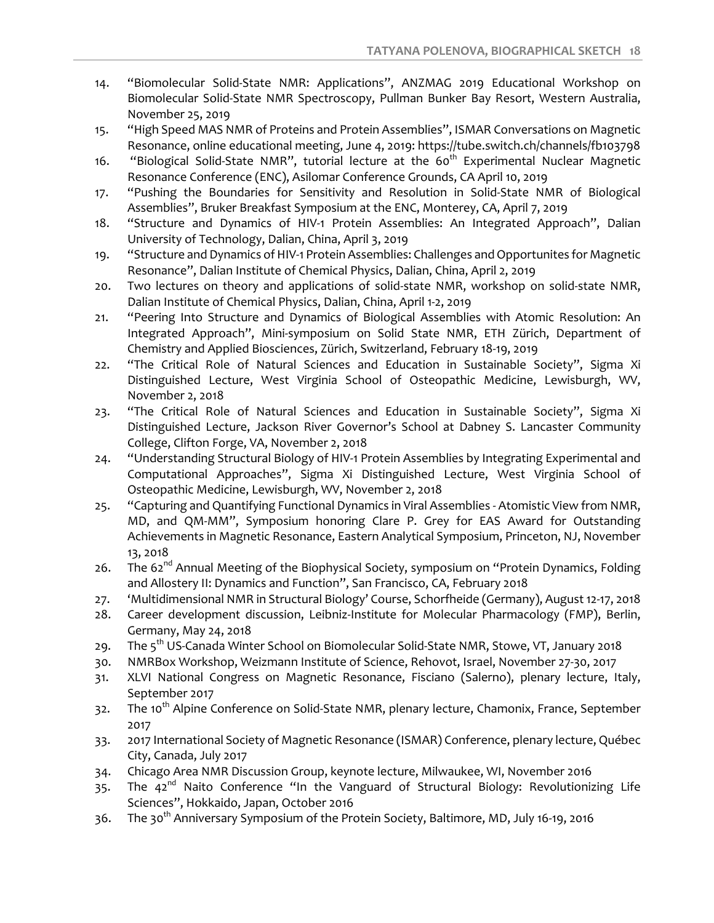- 14. "Biomolecular Solid-State NMR: Applications", ANZMAG 2019 Educational Workshop on Biomolecular Solid-State NMR Spectroscopy, Pullman Bunker Bay Resort, Western Australia, November 25, 2019
- 15. "High Speed MAS NMR of Proteins and Protein Assemblies", ISMAR Conversations on Magnetic Resonance, online educational meeting, June 4, 2019: https://tube.switch.ch/channels/fb103798
- 16. "Biological Solid-State NMR", tutorial lecture at the  $60<sup>th</sup>$  Experimental Nuclear Magnetic Resonance Conference (ENC), Asilomar Conference Grounds, CA April 10, 2019
- 17. "Pushing the Boundaries for Sensitivity and Resolution in Solid-State NMR of Biological Assemblies", Bruker Breakfast Symposium at the ENC, Monterey, CA, April 7, 2019
- 18. "Structure and Dynamics of HIV-1 Protein Assemblies: An Integrated Approach", Dalian University of Technology, Dalian, China, April 3, 2019
- 19. "Structure and Dynamics of HIV-1 Protein Assemblies: Challenges and Opportunites for Magnetic Resonance", Dalian Institute of Chemical Physics, Dalian, China, April 2, 2019
- 20. Two lectures on theory and applications of solid-state NMR, workshop on solid-state NMR, Dalian Institute of Chemical Physics, Dalian, China, April 1-2, 2019
- 21. "Peering Into Structure and Dynamics of Biological Assemblies with Atomic Resolution: An Integrated Approach", Mini-symposium on Solid State NMR, ETH Zürich, Department of Chemistry and Applied Biosciences, Zürich, Switzerland, February 18-19, 2019
- 22. "The Critical Role of Natural Sciences and Education in Sustainable Society", Sigma Xi Distinguished Lecture, West Virginia School of Osteopathic Medicine, Lewisburgh, WV, November 2, 2018
- 23. "The Critical Role of Natural Sciences and Education in Sustainable Society", Sigma Xi Distinguished Lecture, Jackson River Governor's School at Dabney S. Lancaster Community College, Clifton Forge, VA, November 2, 2018
- 24. "Understanding Structural Biology of HIV-1 Protein Assemblies by Integrating Experimental and Computational Approaches", Sigma Xi Distinguished Lecture, West Virginia School of Osteopathic Medicine, Lewisburgh, WV, November 2, 2018
- 25. "Capturing and Quantifying Functional Dynamics in Viral Assemblies Atomistic View from NMR, MD, and QM-MM", Symposium honoring Clare P. Grey for EAS Award for Outstanding Achievements in Magnetic Resonance, Eastern Analytical Symposium, Princeton, NJ, November 13, 2018
- 26. The  $62^{nd}$  Annual Meeting of the Biophysical Society, symposium on "Protein Dynamics, Folding and Allostery II: Dynamics and Function", San Francisco, CA, February 2018
- 27. 'Multidimensional NMR in Structural Biology' Course, Schorfheide (Germany), August 12-17, 2018
- 28. Career development discussion, Leibniz-Institute for Molecular Pharmacology (FMP), Berlin, Germany, May 24, 2018
- 29. The 5<sup>th</sup> US-Canada Winter School on Biomolecular Solid-State NMR, Stowe, VT, January 2018
- 30. NMRBox Workshop, Weizmann Institute of Science, Rehovot, Israel, November 27-30, 2017
- 31. XLVI National Congress on Magnetic Resonance, Fisciano (Salerno), plenary lecture, Italy, September 2017
- 32. The 10<sup>th</sup> Alpine Conference on Solid-State NMR, plenary lecture, Chamonix, France, September 2017
- 33. 2017 International Society of Magnetic Resonance (ISMAR) Conference, plenary lecture, Québec City, Canada, July 2017
- 34. Chicago Area NMR Discussion Group, keynote lecture, Milwaukee, WI, November 2016
- $35.$  The  $42<sup>nd</sup>$  Naito Conference "In the Vanguard of Structural Biology: Revolutionizing Life Sciences", Hokkaido, Japan, October 2016
- 36. The 30<sup>th</sup> Anniversary Symposium of the Protein Society, Baltimore, MD, July 16-19, 2016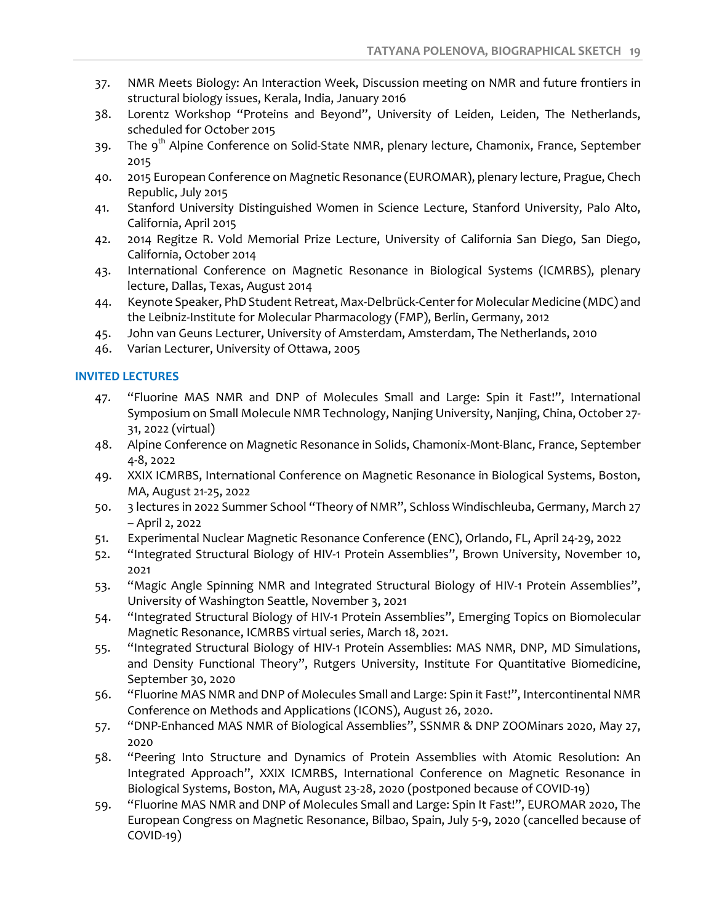- 37. NMR Meets Biology: An Interaction Week, Discussion meeting on NMR and future frontiers in structural biology issues, Kerala, India, January 2016
- 38. Lorentz Workshop "Proteins and Beyond", University of Leiden, Leiden, The Netherlands, scheduled for October 2015
- 39. The 9<sup>th</sup> Alpine Conference on Solid-State NMR, plenary lecture, Chamonix, France, September 2015
- 40. 2015 European Conference on Magnetic Resonance (EUROMAR), plenary lecture, Prague, Chech Republic, July 2015
- 41. Stanford University Distinguished Women in Science Lecture, Stanford University, Palo Alto, California, April 2015
- 42. 2014 Regitze R. Vold Memorial Prize Lecture, University of California San Diego, San Diego, California, October 2014
- 43. International Conference on Magnetic Resonance in Biological Systems (ICMRBS), plenary lecture, Dallas, Texas, August 2014
- 44. Keynote Speaker, PhD Student Retreat, Max-Delbrück-Center for Molecular Medicine (MDC) and the Leibniz-Institute for Molecular Pharmacology (FMP), Berlin, Germany, 2012
- 45. John van Geuns Lecturer, University of Amsterdam, Amsterdam, The Netherlands, 2010
- 46. Varian Lecturer, University of Ottawa, 2005

### **INVITED LECTURES**

- 47. "Fluorine MAS NMR and DNP of Molecules Small and Large: Spin it Fast!", International Symposium on Small Molecule NMR Technology, Nanjing University, Nanjing, China, October 27- 31, 2022 (virtual)
- 48. Alpine Conference on Magnetic Resonance in Solids, Chamonix-Mont-Blanc, France, September 4-8, 2022
- 49. XXIX ICMRBS, International Conference on Magnetic Resonance in Biological Systems, Boston, MA, August 21-25, 2022
- 50. 3 lectures in 2022 Summer School "Theory of NMR", Schloss Windischleuba, Germany, March 27 – April 2, 2022
- 51. Experimental Nuclear Magnetic Resonance Conference (ENC), Orlando, FL, April 24-29, 2022
- 52. "Integrated Structural Biology of HIV-1 Protein Assemblies", Brown University, November 10, 2021
- 53. "Magic Angle Spinning NMR and Integrated Structural Biology of HIV-1 Protein Assemblies", University of Washington Seattle, November 3, 2021
- 54. "Integrated Structural Biology of HIV-1 Protein Assemblies", Emerging Topics on Biomolecular Magnetic Resonance, ICMRBS virtual series, March 18, 2021.
- 55. "Integrated Structural Biology of HIV-1 Protein Assemblies: MAS NMR, DNP, MD Simulations, and Density Functional Theory", Rutgers University, Institute For Quantitative Biomedicine, September 30, 2020
- 56. "Fluorine MAS NMR and DNP of Molecules Small and Large: Spin it Fast!", Intercontinental NMR Conference on Methods and Applications (ICONS), August 26, 2020.
- 57. "DNP-Enhanced MAS NMR of Biological Assemblies", SSNMR & DNP ZOOMinars 2020, May 27, 2020
- 58. "Peering Into Structure and Dynamics of Protein Assemblies with Atomic Resolution: An Integrated Approach", XXIX ICMRBS, International Conference on Magnetic Resonance in Biological Systems, Boston, MA, August 23-28, 2020 (postponed because of COVID-19)
- 59. "Fluorine MAS NMR and DNP of Molecules Small and Large: Spin It Fast!", EUROMAR 2020, The European Congress on Magnetic Resonance, Bilbao, Spain, July 5-9, 2020 (cancelled because of COVID-19)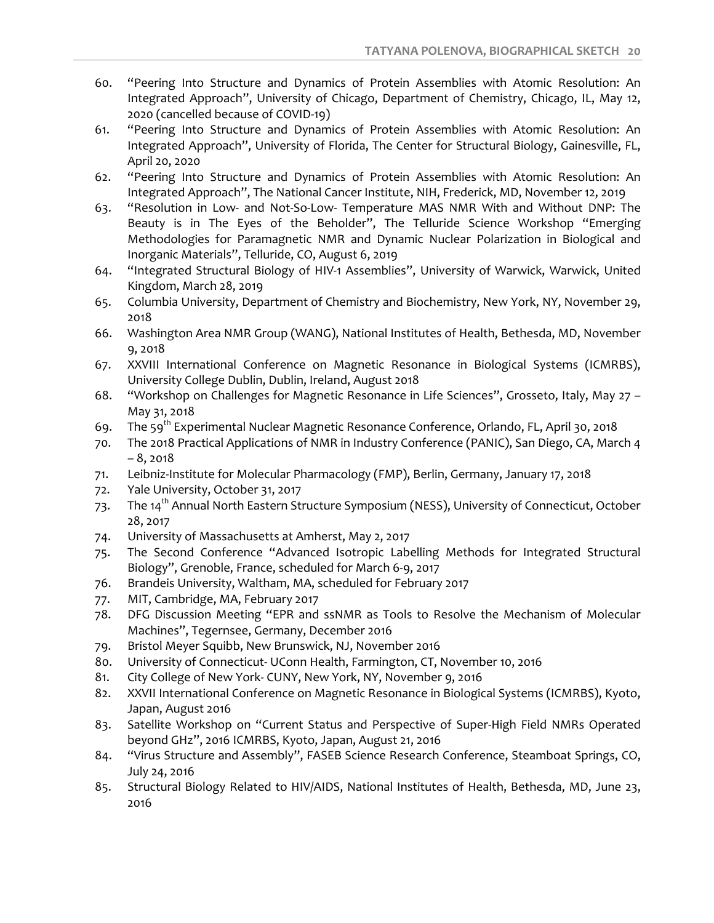- 60. "Peering Into Structure and Dynamics of Protein Assemblies with Atomic Resolution: An Integrated Approach", University of Chicago, Department of Chemistry, Chicago, IL, May 12, 2020 (cancelled because of COVID-19)
- 61. "Peering Into Structure and Dynamics of Protein Assemblies with Atomic Resolution: An Integrated Approach", University of Florida, The Center for Structural Biology, Gainesville, FL, April 20, 2020
- 62. "Peering Into Structure and Dynamics of Protein Assemblies with Atomic Resolution: An Integrated Approach", The National Cancer Institute, NIH, Frederick, MD, November 12, 2019
- 63. "Resolution in Low- and Not-So-Low- Temperature MAS NMR With and Without DNP: The Beauty is in The Eyes of the Beholder", The Telluride Science Workshop "Emerging Methodologies for Paramagnetic NMR and Dynamic Nuclear Polarization in Biological and Inorganic Materials", Telluride, CO, August 6, 2019
- 64. "Integrated Structural Biology of HIV-1 Assemblies", University of Warwick, Warwick, United Kingdom, March 28, 2019
- 65. Columbia University, Department of Chemistry and Biochemistry, New York, NY, November 29, 2018
- 66. Washington Area NMR Group (WANG), National Institutes of Health, Bethesda, MD, November 9, 2018
- 67. XXVIII International Conference on Magnetic Resonance in Biological Systems (ICMRBS), University College Dublin, Dublin, Ireland, August 2018
- 68. "Workshop on Challenges for Magnetic Resonance in Life Sciences", Grosseto, Italy, May 27 May 31, 2018
- 69. The 59<sup>th</sup> Experimental Nuclear Magnetic Resonance Conference, Orlando, FL, April 30, 2018
- 70. The 2018 Practical Applications of NMR in Industry Conference (PANIC), San Diego, CA, March 4  $-8.2018$
- 71. Leibniz-Institute for Molecular Pharmacology (FMP), Berlin, Germany, January 17, 2018
- 72. Yale University, October 31, 2017
- 73. The 14<sup>th</sup> Annual North Eastern Structure Symposium (NESS), University of Connecticut, October 28, 2017
- 74. University of Massachusetts at Amherst, May 2, 2017
- 75. The Second Conference "Advanced Isotropic Labelling Methods for Integrated Structural Biology", Grenoble, France, scheduled for March 6-9, 2017
- 76. Brandeis University, Waltham, MA, scheduled for February 2017
- 77. MIT, Cambridge, MA, February 2017
- 78. DFG Discussion Meeting "EPR and ssNMR as Tools to Resolve the Mechanism of Molecular Machines", Tegernsee, Germany, December 2016
- 79. Bristol Meyer Squibb, New Brunswick, NJ, November 2016
- 80. University of Connecticut- UConn Health, Farmington, CT, November 10, 2016
- 81. City College of New York- CUNY, New York, NY, November 9, 2016
- 82. XXVII International Conference on Magnetic Resonance in Biological Systems (ICMRBS), Kyoto, Japan, August 2016
- 83. Satellite Workshop on "Current Status and Perspective of Super-High Field NMRs Operated beyond GHz", 2016 ICMRBS, Kyoto, Japan, August 21, 2016
- 84. "Virus Structure and Assembly", FASEB Science Research Conference, Steamboat Springs, CO, July 24, 2016
- 85. Structural Biology Related to HIV/AIDS, National Institutes of Health, Bethesda, MD, June 23, 2016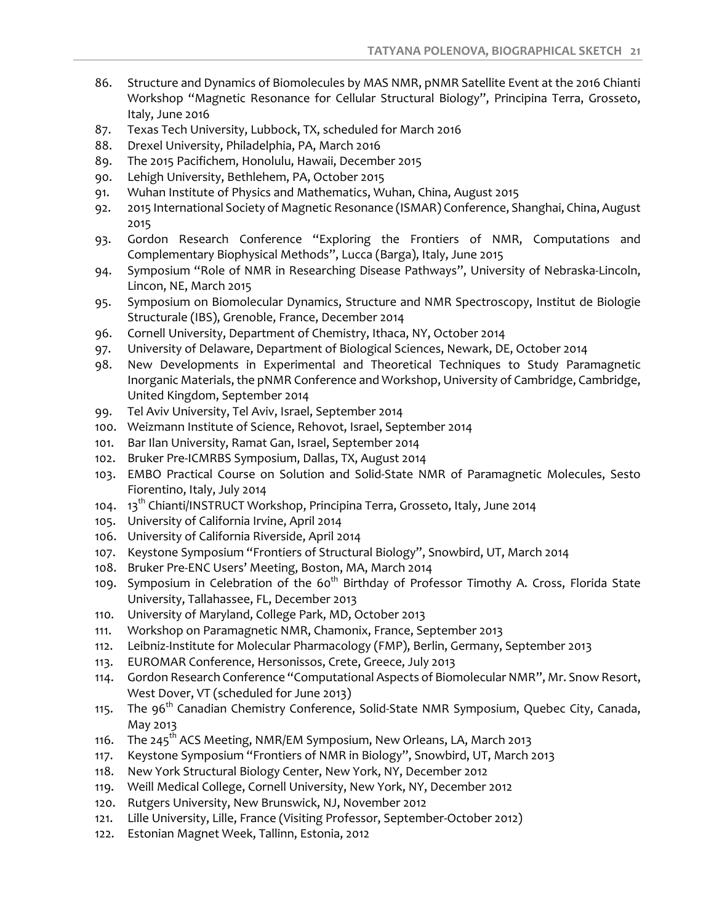- 86. Structure and Dynamics of Biomolecules by MAS NMR, pNMR Satellite Event at the 2016 Chianti Workshop "Magnetic Resonance for Cellular Structural Biology", Principina Terra, Grosseto, Italy, June 2016
- 87. Texas Tech University, Lubbock, TX, scheduled for March 2016
- 88. Drexel University, Philadelphia, PA, March 2016
- 89. The 2015 Pacifichem, Honolulu, Hawaii, December 2015
- 90. Lehigh University, Bethlehem, PA, October 2015
- 91. Wuhan Institute of Physics and Mathematics, Wuhan, China, August 2015
- 92. 2015 International Society of Magnetic Resonance (ISMAR) Conference, Shanghai, China, August 2015
- 93. Gordon Research Conference "Exploring the Frontiers of NMR, Computations and Complementary Biophysical Methods", Lucca (Barga), Italy, June 2015
- 94. Symposium "Role of NMR in Researching Disease Pathways", University of Nebraska-Lincoln, Lincon, NE, March 2015
- 95. Symposium on Biomolecular Dynamics, Structure and NMR Spectroscopy, Institut de Biologie Structurale (IBS), Grenoble, France, December 2014
- 96. Cornell University, Department of Chemistry, Ithaca, NY, October 2014
- 97. University of Delaware, Department of Biological Sciences, Newark, DE, October 2014
- 98. New Developments in Experimental and Theoretical Techniques to Study Paramagnetic Inorganic Materials, the pNMR Conference and Workshop, University of Cambridge, Cambridge, United Kingdom, September 2014
- 99. Tel Aviv University, Tel Aviv, Israel, September 2014
- 100. Weizmann Institute of Science, Rehovot, Israel, September 2014
- 101. Bar Ilan University, Ramat Gan, Israel, September 2014
- 102. Bruker Pre-ICMRBS Symposium, Dallas, TX, August 2014
- 103. EMBO Practical Course on Solution and Solid-State NMR of Paramagnetic Molecules, Sesto Fiorentino, Italy, July 2014
- 104.  $13^{th}$  Chianti/INSTRUCT Workshop, Principina Terra, Grosseto, Italy, June 2014
- 105. University of California Irvine, April 2014
- 106. University of California Riverside, April 2014
- 107. Keystone Symposium "Frontiers of Structural Biology", Snowbird, UT, March 2014
- 108. Bruker Pre-ENC Users' Meeting, Boston, MA, March 2014
- 109. Symposium in Celebration of the 60<sup>th</sup> Birthday of Professor Timothy A. Cross, Florida State University, Tallahassee, FL, December 2013
- 110. University of Maryland, College Park, MD, October 2013
- 111. Workshop on Paramagnetic NMR, Chamonix, France, September 2013
- 112. Leibniz-Institute for Molecular Pharmacology (FMP), Berlin, Germany, September 2013
- 113. EUROMAR Conference, Hersonissos, Crete, Greece, July 2013
- 114. Gordon Research Conference "Computational Aspects of Biomolecular NMR", Mr. Snow Resort, West Dover, VT (scheduled for June 2013)
- 115. The 96<sup>th</sup> Canadian Chemistry Conference, Solid-State NMR Symposium, Quebec City, Canada, May 2013
- 116. The 245<sup>th</sup> ACS Meeting, NMR/EM Symposium, New Orleans, LA, March 2013
- 117. Keystone Symposium "Frontiers of NMR in Biology", Snowbird, UT, March 2013
- 118. New York Structural Biology Center, New York, NY, December 2012
- 119. Weill Medical College, Cornell University, New York, NY, December 2012
- 120. Rutgers University, New Brunswick, NJ, November 2012
- 121. Lille University, Lille, France (Visiting Professor, September-October 2012)
- 122. Estonian Magnet Week, Tallinn, Estonia, 2012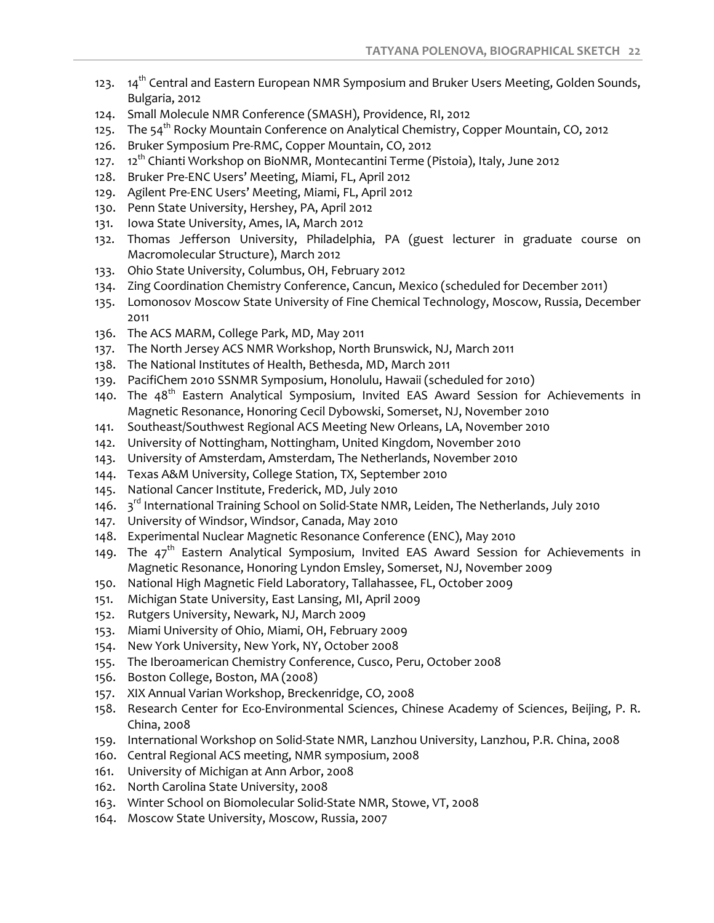- 123. 14<sup>th</sup> Central and Eastern European NMR Symposium and Bruker Users Meeting, Golden Sounds, Bulgaria, 2012
- 124. Small Molecule NMR Conference (SMASH), Providence, RI, 2012
- 125. The 54<sup>th</sup> Rocky Mountain Conference on Analytical Chemistry, Copper Mountain, CO, 2012
- 126. Bruker Symposium Pre-RMC, Copper Mountain, CO, 2012
- 127.  $12^{th}$  Chianti Workshop on BioNMR, Montecantini Terme (Pistoia), Italy, June 2012
- 128. Bruker Pre-ENC Users' Meeting, Miami, FL, April 2012
- 129. Agilent Pre-ENC Users' Meeting, Miami, FL, April 2012
- 130. Penn State University, Hershey, PA, April 2012
- 131. Iowa State University, Ames, IA, March 2012
- 132. Thomas Jefferson University, Philadelphia, PA (guest lecturer in graduate course on Macromolecular Structure), March 2012
- 133. Ohio State University, Columbus, OH, February 2012
- 134. Zing Coordination Chemistry Conference, Cancun, Mexico (scheduled for December 2011)
- 135. Lomonosov Moscow State University of Fine Chemical Technology, Moscow, Russia, December 2011
- 136. The ACS MARM, College Park, MD, May 2011
- 137. The North Jersey ACS NMR Workshop, North Brunswick, NJ, March 2011
- 138. The National Institutes of Health, Bethesda, MD, March 2011
- 139. PacifiChem 2010 SSNMR Symposium, Honolulu, Hawaii (scheduled for 2010)
- 140. The 48<sup>th</sup> Eastern Analytical Symposium, Invited EAS Award Session for Achievements in Magnetic Resonance, Honoring Cecil Dybowski, Somerset, NJ, November 2010
- 141. Southeast/Southwest Regional ACS Meeting New Orleans, LA, November 2010
- 142. University of Nottingham, Nottingham, United Kingdom, November 2010
- 143. University of Amsterdam, Amsterdam, The Netherlands, November 2010
- 144. Texas A&M University, College Station, TX, September 2010
- 145. National Cancer Institute, Frederick, MD, July 2010
- 146. 3<sup>rd</sup> International Training School on Solid-State NMR, Leiden, The Netherlands, July 2010
- 147. University of Windsor, Windsor, Canada, May 2010
- 148. Experimental Nuclear Magnetic Resonance Conference (ENC), May 2010
- 149. The  $47<sup>th</sup>$  Eastern Analytical Symposium, Invited EAS Award Session for Achievements in Magnetic Resonance, Honoring Lyndon Emsley, Somerset, NJ, November 2009
- 150. National High Magnetic Field Laboratory, Tallahassee, FL, October 2009
- 151. Michigan State University, East Lansing, MI, April 2009
- 152. Rutgers University, Newark, NJ, March 2009
- 153. Miami University of Ohio, Miami, OH, February 2009
- 154. New York University, New York, NY, October 2008
- 155. The Iberoamerican Chemistry Conference, Cusco, Peru, October 2008
- 156. Boston College, Boston, MA (2008)
- 157. XIX Annual Varian Workshop, Breckenridge, CO, 2008
- 158. Research Center for Eco-Environmental Sciences, Chinese Academy of Sciences, Beijing, P. R. China, 2008
- 159. International Workshop on Solid-State NMR, Lanzhou University, Lanzhou, P.R. China, 2008
- 160. Central Regional ACS meeting, NMR symposium, 2008
- 161. University of Michigan at Ann Arbor, 2008
- 162. North Carolina State University, 2008
- 163. Winter School on Biomolecular Solid-State NMR, Stowe, VT, 2008
- 164. Moscow State University, Moscow, Russia, 2007